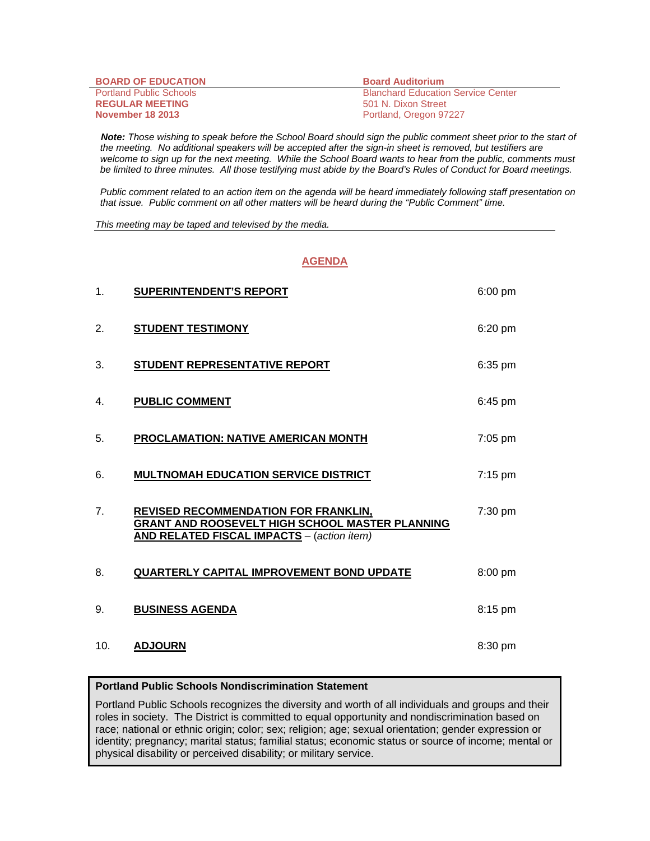| <b>BOARD OF EDUCATION</b>      | <b>Board Auditorium</b>                   |
|--------------------------------|-------------------------------------------|
| <b>Portland Public Schools</b> | <b>Blanchard Education Service Center</b> |
| <b>REGULAR MEETING</b>         | 501 N. Dixon Street                       |
| <b>November 18 2013</b>        | Portland, Oregon 97227                    |

 *Note: Those wishing to speak before the School Board should sign the public comment sheet prior to the start of the meeting. No additional speakers will be accepted after the sign-in sheet is removed, but testifiers are welcome to sign up for the next meeting. While the School Board wants to hear from the public, comments must be limited to three minutes. All those testifying must abide by the Board's Rules of Conduct for Board meetings.* 

 *Public comment related to an action item on the agenda will be heard immediately following staff presentation on that issue. Public comment on all other matters will be heard during the "Public Comment" time.* 

*This meeting may be taped and televised by the media.* 

## **AGENDA**

| 1.  | <b>SUPERINTENDENT'S REPORT</b>                                                                                                                      | 6:00 pm |
|-----|-----------------------------------------------------------------------------------------------------------------------------------------------------|---------|
| 2.  | <b>STUDENT TESTIMONY</b>                                                                                                                            | 6:20 pm |
| 3.  | <b>STUDENT REPRESENTATIVE REPORT</b>                                                                                                                | 6:35 pm |
| 4.  | <b>PUBLIC COMMENT</b>                                                                                                                               | 6:45 pm |
| 5.  | PROCLAMATION: NATIVE AMERICAN MONTH                                                                                                                 | 7:05 pm |
| 6.  | <b>MULTNOMAH EDUCATION SERVICE DISTRICT</b>                                                                                                         | 7:15 pm |
| 7.  | <b>REVISED RECOMMENDATION FOR FRANKLIN,</b><br>GRANT AND ROOSEVELT HIGH SCHOOL MASTER PLANNING<br><b>AND RELATED FISCAL IMPACTS</b> - (action item) | 7:30 pm |
| 8.  | QUARTERLY CAPITAL IMPROVEMENT BOND UPDATE                                                                                                           | 8:00 pm |
| 9.  | <b>BUSINESS AGENDA</b>                                                                                                                              | 8:15 pm |
| 10. | <b>ADJOURN</b>                                                                                                                                      | 8:30 pm |

## **Portland Public Schools Nondiscrimination Statement**

Portland Public Schools recognizes the diversity and worth of all individuals and groups and their roles in society. The District is committed to equal opportunity and nondiscrimination based on race; national or ethnic origin; color; sex; religion; age; sexual orientation; gender expression or identity; pregnancy; marital status; familial status; economic status or source of income; mental or physical disability or perceived disability; or military service.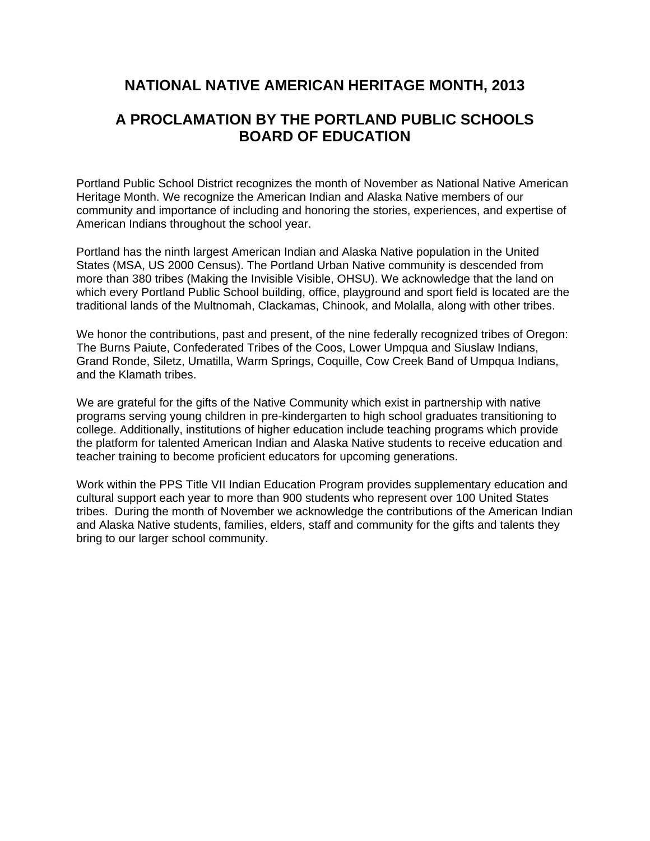# **NATIONAL NATIVE AMERICAN HERITAGE MONTH, 2013**

# **A PROCLAMATION BY THE PORTLAND PUBLIC SCHOOLS BOARD OF EDUCATION**

Portland Public School District recognizes the month of November as National Native American Heritage Month. We recognize the American Indian and Alaska Native members of our community and importance of including and honoring the stories, experiences, and expertise of American Indians throughout the school year.

Portland has the ninth largest American Indian and Alaska Native population in the United States (MSA, US 2000 Census). The Portland Urban Native community is descended from more than 380 tribes (Making the Invisible Visible, OHSU). We acknowledge that the land on which every Portland Public School building, office, playground and sport field is located are the traditional lands of the Multnomah, Clackamas, Chinook, and Molalla, along with other tribes.

We honor the contributions, past and present, of the nine federally recognized tribes of Oregon: The Burns Paiute, Confederated Tribes of the Coos, Lower Umpqua and Siuslaw Indians, Grand Ronde, Siletz, Umatilla, Warm Springs, Coquille, Cow Creek Band of Umpqua Indians, and the Klamath tribes.

We are grateful for the gifts of the Native Community which exist in partnership with native programs serving young children in pre-kindergarten to high school graduates transitioning to college. Additionally, institutions of higher education include teaching programs which provide the platform for talented American Indian and Alaska Native students to receive education and teacher training to become proficient educators for upcoming generations.

Work within the PPS Title VII Indian Education Program provides supplementary education and cultural support each year to more than 900 students who represent over 100 United States tribes. During the month of November we acknowledge the contributions of the American Indian and Alaska Native students, families, elders, staff and community for the gifts and talents they bring to our larger school community.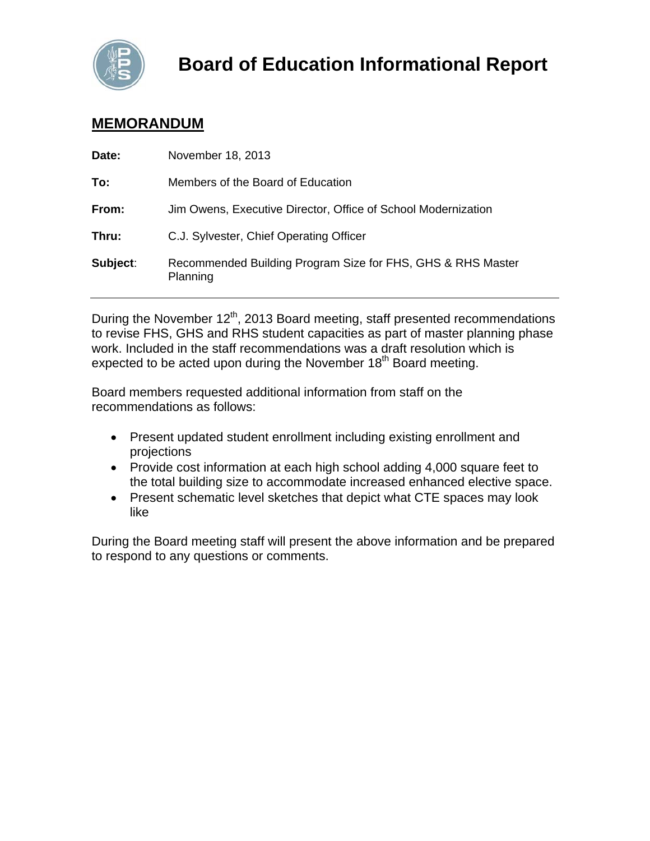

# **MEMORANDUM**

| Date:    | November 18, 2013                                                       |
|----------|-------------------------------------------------------------------------|
| To:      | Members of the Board of Education                                       |
| From:    | Jim Owens, Executive Director, Office of School Modernization           |
| Thru:    | C.J. Sylvester, Chief Operating Officer                                 |
| Subject: | Recommended Building Program Size for FHS, GHS & RHS Master<br>Planning |

During the November 12<sup>th</sup>, 2013 Board meeting, staff presented recommendations to revise FHS, GHS and RHS student capacities as part of master planning phase work. Included in the staff recommendations was a draft resolution which is expected to be acted upon during the November  $18<sup>th</sup>$  Board meeting.

Board members requested additional information from staff on the recommendations as follows:

- Present updated student enrollment including existing enrollment and projections
- Provide cost information at each high school adding 4,000 square feet to the total building size to accommodate increased enhanced elective space.
- Present schematic level sketches that depict what CTE spaces may look like

During the Board meeting staff will present the above information and be prepared to respond to any questions or comments.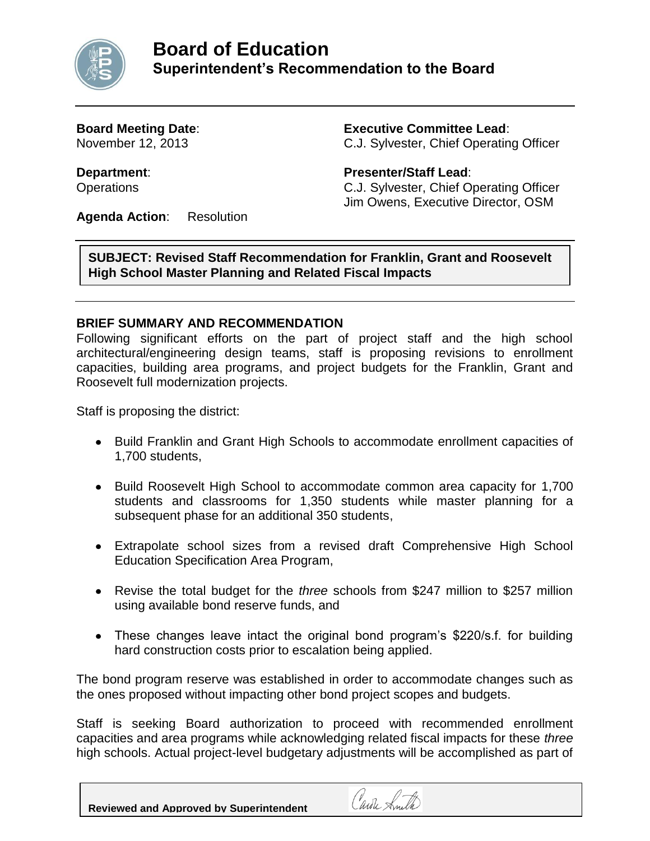

**Board Meeting Date**: **Executive Committee Lead**: November 12, 2013 C.J. Sylvester, Chief Operating Officer

**Department**: **Presenter/Staff Lead**: Operations C.J. Sylvester, Chief Operating Officer Jim Owens, Executive Director, OSM

**Agenda Action**: Resolution

**SUBJECT: Revised Staff Recommendation for Franklin, Grant and Roosevelt High School Master Planning and Related Fiscal Impacts**

# **BRIEF SUMMARY AND RECOMMENDATION**

Following significant efforts on the part of project staff and the high school architectural/engineering design teams, staff is proposing revisions to enrollment capacities, building area programs, and project budgets for the Franklin, Grant and Roosevelt full modernization projects.

Staff is proposing the district:

- Build Franklin and Grant High Schools to accommodate enrollment capacities of 1,700 students,
- Build Roosevelt High School to accommodate common area capacity for 1,700 students and classrooms for 1,350 students while master planning for a subsequent phase for an additional 350 students,
- Extrapolate school sizes from a revised draft Comprehensive High School Education Specification Area Program,
- Revise the total budget for the *three* schools from \$247 million to \$257 million using available bond reserve funds, and
- These changes leave intact the original bond program's \$220/s.f. for building hard construction costs prior to escalation being applied.

The bond program reserve was established in order to accommodate changes such as the ones proposed without impacting other bond project scopes and budgets.

Staff is seeking Board authorization to proceed with recommended enrollment capacities and area programs while acknowledging related fiscal impacts for these *three* high schools. Actual project-level budgetary adjustments will be accomplished as part of

Carole Smith

**Reviewed and Approved by Superintendent**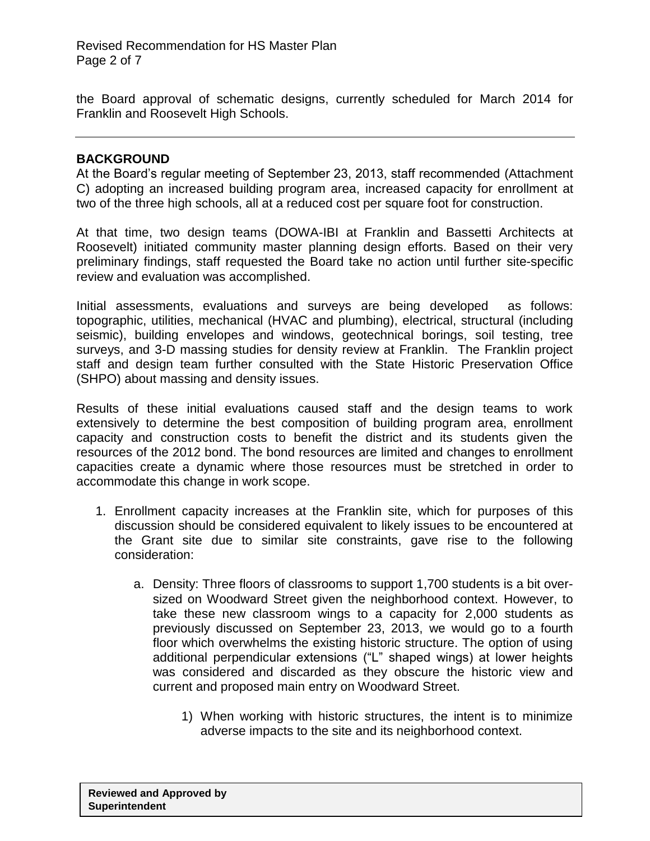the Board approval of schematic designs, currently scheduled for March 2014 for Franklin and Roosevelt High Schools.

## **BACKGROUND**

At the Board's regular meeting of September 23, 2013, staff recommended (Attachment C) adopting an increased building program area, increased capacity for enrollment at two of the three high schools, all at a reduced cost per square foot for construction.

At that time, two design teams (DOWA-IBI at Franklin and Bassetti Architects at Roosevelt) initiated community master planning design efforts. Based on their very preliminary findings, staff requested the Board take no action until further site-specific review and evaluation was accomplished.

Initial assessments, evaluations and surveys are being developed as follows: topographic, utilities, mechanical (HVAC and plumbing), electrical, structural (including seismic), building envelopes and windows, geotechnical borings, soil testing, tree surveys, and 3-D massing studies for density review at Franklin. The Franklin project staff and design team further consulted with the State Historic Preservation Office (SHPO) about massing and density issues.

Results of these initial evaluations caused staff and the design teams to work extensively to determine the best composition of building program area, enrollment capacity and construction costs to benefit the district and its students given the resources of the 2012 bond. The bond resources are limited and changes to enrollment capacities create a dynamic where those resources must be stretched in order to accommodate this change in work scope.

- 1. Enrollment capacity increases at the Franklin site, which for purposes of this discussion should be considered equivalent to likely issues to be encountered at the Grant site due to similar site constraints, gave rise to the following consideration:
	- a. Density: Three floors of classrooms to support 1,700 students is a bit oversized on Woodward Street given the neighborhood context. However, to take these new classroom wings to a capacity for 2,000 students as previously discussed on September 23, 2013, we would go to a fourth floor which overwhelms the existing historic structure. The option of using additional perpendicular extensions ("L" shaped wings) at lower heights was considered and discarded as they obscure the historic view and current and proposed main entry on Woodward Street.
		- 1) When working with historic structures, the intent is to minimize adverse impacts to the site and its neighborhood context.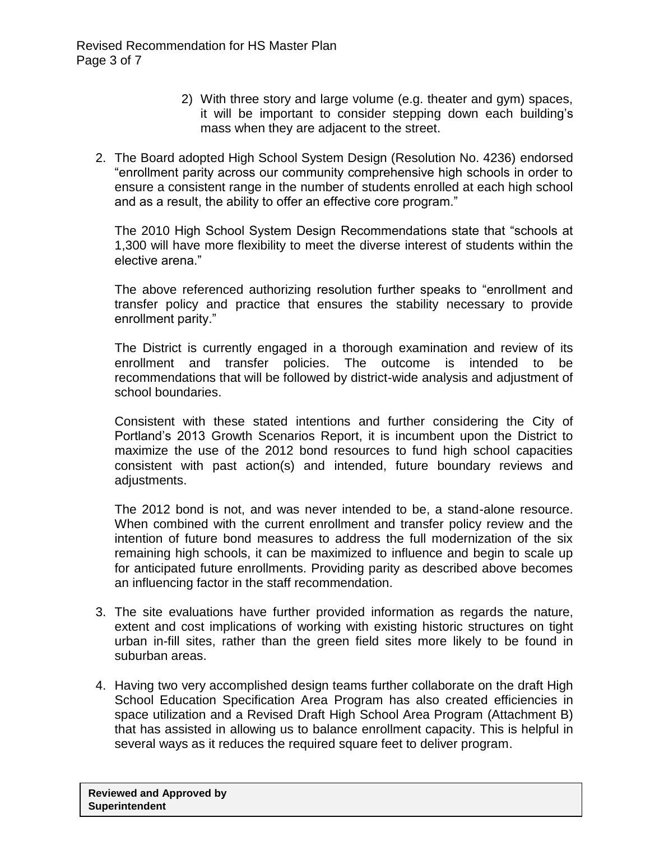- 2) With three story and large volume (e.g. theater and gym) spaces, it will be important to consider stepping down each building's mass when they are adjacent to the street.
- 2. The Board adopted High School System Design (Resolution No. 4236) endorsed "enrollment parity across our community comprehensive high schools in order to ensure a consistent range in the number of students enrolled at each high school and as a result, the ability to offer an effective core program."

The 2010 High School System Design Recommendations state that "schools at 1,300 will have more flexibility to meet the diverse interest of students within the elective arena."

The above referenced authorizing resolution further speaks to "enrollment and transfer policy and practice that ensures the stability necessary to provide enrollment parity."

The District is currently engaged in a thorough examination and review of its enrollment and transfer policies. The outcome is intended to be recommendations that will be followed by district-wide analysis and adjustment of school boundaries.

Consistent with these stated intentions and further considering the City of Portland's 2013 Growth Scenarios Report, it is incumbent upon the District to maximize the use of the 2012 bond resources to fund high school capacities consistent with past action(s) and intended, future boundary reviews and adiustments.

The 2012 bond is not, and was never intended to be, a stand-alone resource. When combined with the current enrollment and transfer policy review and the intention of future bond measures to address the full modernization of the six remaining high schools, it can be maximized to influence and begin to scale up for anticipated future enrollments. Providing parity as described above becomes an influencing factor in the staff recommendation.

- 3. The site evaluations have further provided information as regards the nature, extent and cost implications of working with existing historic structures on tight urban in-fill sites, rather than the green field sites more likely to be found in suburban areas.
- 4. Having two very accomplished design teams further collaborate on the draft High School Education Specification Area Program has also created efficiencies in space utilization and a Revised Draft High School Area Program (Attachment B) that has assisted in allowing us to balance enrollment capacity. This is helpful in several ways as it reduces the required square feet to deliver program.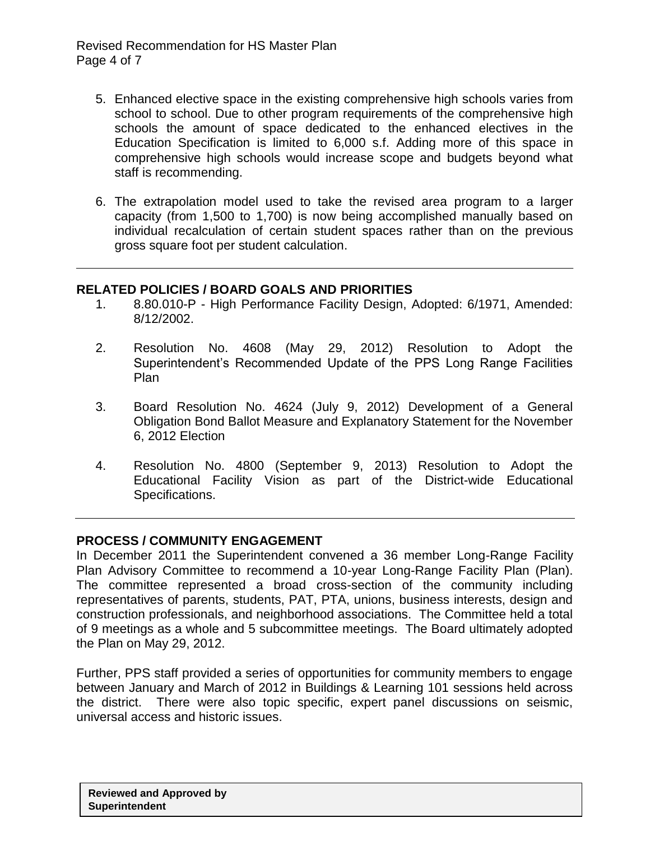Revised Recommendation for HS Master Plan Page 4 of 7

- 5. Enhanced elective space in the existing comprehensive high schools varies from school to school. Due to other program requirements of the comprehensive high schools the amount of space dedicated to the enhanced electives in the Education Specification is limited to 6,000 s.f. Adding more of this space in comprehensive high schools would increase scope and budgets beyond what staff is recommending.
- 6. The extrapolation model used to take the revised area program to a larger capacity (from 1,500 to 1,700) is now being accomplished manually based on individual recalculation of certain student spaces rather than on the previous gross square foot per student calculation.

# **RELATED POLICIES / BOARD GOALS AND PRIORITIES**

- 1. 8.80.010-P High Performance Facility Design, Adopted: 6/1971, Amended: 8/12/2002.
- 2. Resolution No. 4608 (May 29, 2012) Resolution to Adopt the Superintendent's Recommended Update of the PPS Long Range Facilities Plan
- 3. Board Resolution No. 4624 (July 9, 2012) Development of a General Obligation Bond Ballot Measure and Explanatory Statement for the November 6, 2012 Election
- 4. Resolution No. 4800 (September 9, 2013) Resolution to Adopt the Educational Facility Vision as part of the District-wide Educational Specifications.

# **PROCESS / COMMUNITY ENGAGEMENT**

In December 2011 the Superintendent convened a 36 member Long-Range Facility Plan Advisory Committee to recommend a 10-year Long-Range Facility Plan (Plan). The committee represented a broad cross-section of the community including representatives of parents, students, PAT, PTA, unions, business interests, design and construction professionals, and neighborhood associations. The Committee held a total of 9 meetings as a whole and 5 subcommittee meetings. The Board ultimately adopted the Plan on May 29, 2012.

Further, PPS staff provided a series of opportunities for community members to engage between January and March of 2012 in Buildings & Learning 101 sessions held across the district. There were also topic specific, expert panel discussions on seismic, universal access and historic issues.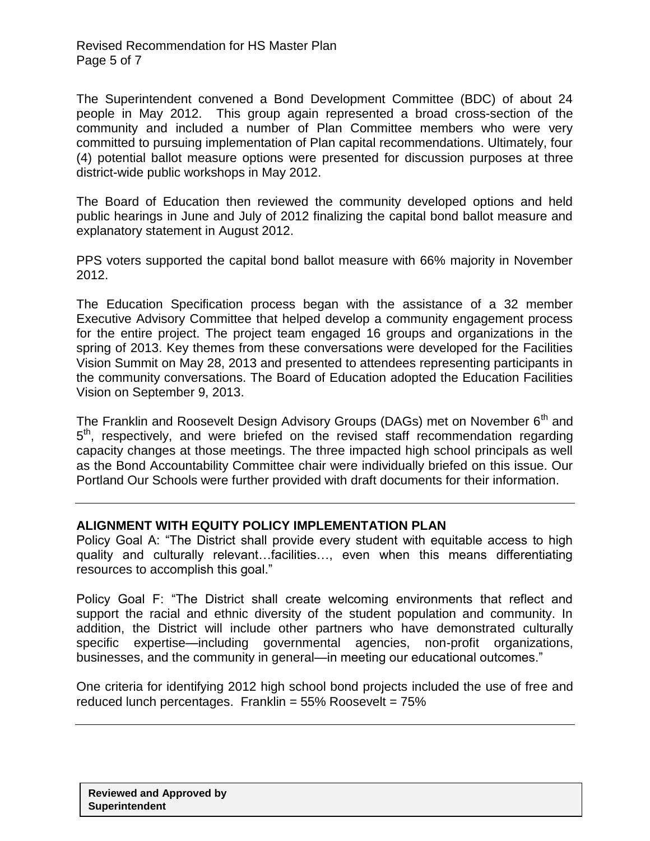The Superintendent convened a Bond Development Committee (BDC) of about 24 people in May 2012. This group again represented a broad cross-section of the community and included a number of Plan Committee members who were very committed to pursuing implementation of Plan capital recommendations. Ultimately, four (4) potential ballot measure options were presented for discussion purposes at three district-wide public workshops in May 2012.

The Board of Education then reviewed the community developed options and held public hearings in June and July of 2012 finalizing the capital bond ballot measure and explanatory statement in August 2012.

PPS voters supported the capital bond ballot measure with 66% majority in November 2012.

The Education Specification process began with the assistance of a 32 member Executive Advisory Committee that helped develop a community engagement process for the entire project. The project team engaged 16 groups and organizations in the spring of 2013. Key themes from these conversations were developed for the Facilities Vision Summit on May 28, 2013 and presented to attendees representing participants in the community conversations. The Board of Education adopted the Education Facilities Vision on September 9, 2013.

The Franklin and Roosevelt Design Advisory Groups (DAGs) met on November 6<sup>th</sup> and 5<sup>th</sup>, respectively, and were briefed on the revised staff recommendation regarding capacity changes at those meetings. The three impacted high school principals as well as the Bond Accountability Committee chair were individually briefed on this issue. Our Portland Our Schools were further provided with draft documents for their information.

# **ALIGNMENT WITH EQUITY POLICY IMPLEMENTATION PLAN**

Policy Goal A: "The District shall provide every student with equitable access to high quality and culturally relevant…facilities…, even when this means differentiating resources to accomplish this goal."

Policy Goal F: "The District shall create welcoming environments that reflect and support the racial and ethnic diversity of the student population and community. In addition, the District will include other partners who have demonstrated culturally specific expertise—including governmental agencies, non-profit organizations, businesses, and the community in general—in meeting our educational outcomes."

One criteria for identifying 2012 high school bond projects included the use of free and reduced lunch percentages. Franklin =  $55\%$  Roosevelt =  $75\%$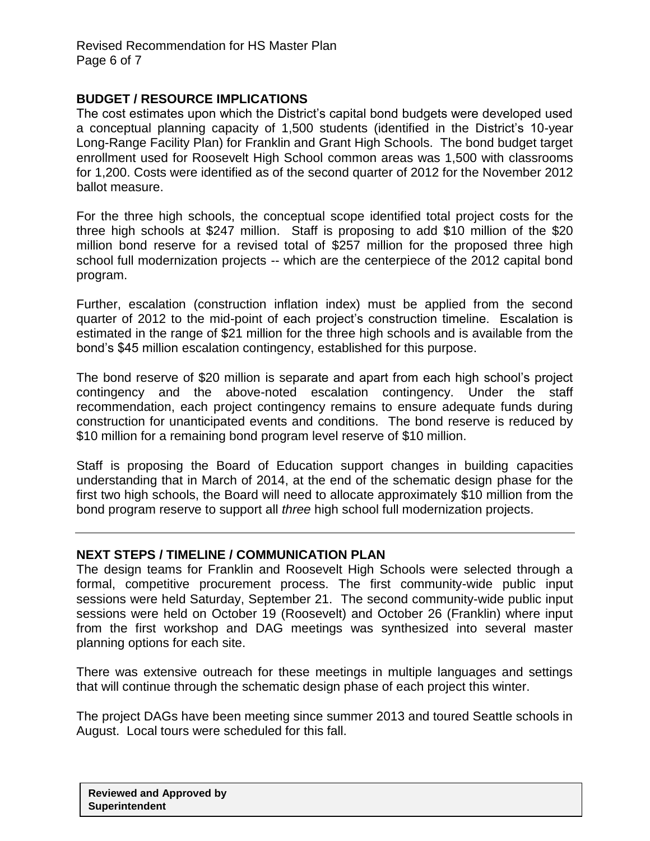# **BUDGET / RESOURCE IMPLICATIONS**

The cost estimates upon which the District's capital bond budgets were developed used a conceptual planning capacity of 1,500 students (identified in the District's 10-year Long-Range Facility Plan) for Franklin and Grant High Schools. The bond budget target enrollment used for Roosevelt High School common areas was 1,500 with classrooms for 1,200. Costs were identified as of the second quarter of 2012 for the November 2012 ballot measure.

For the three high schools, the conceptual scope identified total project costs for the three high schools at \$247 million. Staff is proposing to add \$10 million of the \$20 million bond reserve for a revised total of \$257 million for the proposed three high school full modernization projects -- which are the centerpiece of the 2012 capital bond program.

Further, escalation (construction inflation index) must be applied from the second quarter of 2012 to the mid-point of each project's construction timeline. Escalation is estimated in the range of \$21 million for the three high schools and is available from the bond's \$45 million escalation contingency, established for this purpose.

The bond reserve of \$20 million is separate and apart from each high school's project contingency and the above-noted escalation contingency. Under the staff recommendation, each project contingency remains to ensure adequate funds during construction for unanticipated events and conditions. The bond reserve is reduced by \$10 million for a remaining bond program level reserve of \$10 million.

Staff is proposing the Board of Education support changes in building capacities understanding that in March of 2014, at the end of the schematic design phase for the first two high schools, the Board will need to allocate approximately \$10 million from the bond program reserve to support all *three* high school full modernization projects.

# **NEXT STEPS / TIMELINE / COMMUNICATION PLAN**

The design teams for Franklin and Roosevelt High Schools were selected through a formal, competitive procurement process. The first community-wide public input sessions were held Saturday, September 21. The second community-wide public input sessions were held on October 19 (Roosevelt) and October 26 (Franklin) where input from the first workshop and DAG meetings was synthesized into several master planning options for each site.

There was extensive outreach for these meetings in multiple languages and settings that will continue through the schematic design phase of each project this winter.

The project DAGs have been meeting since summer 2013 and toured Seattle schools in August. Local tours were scheduled for this fall.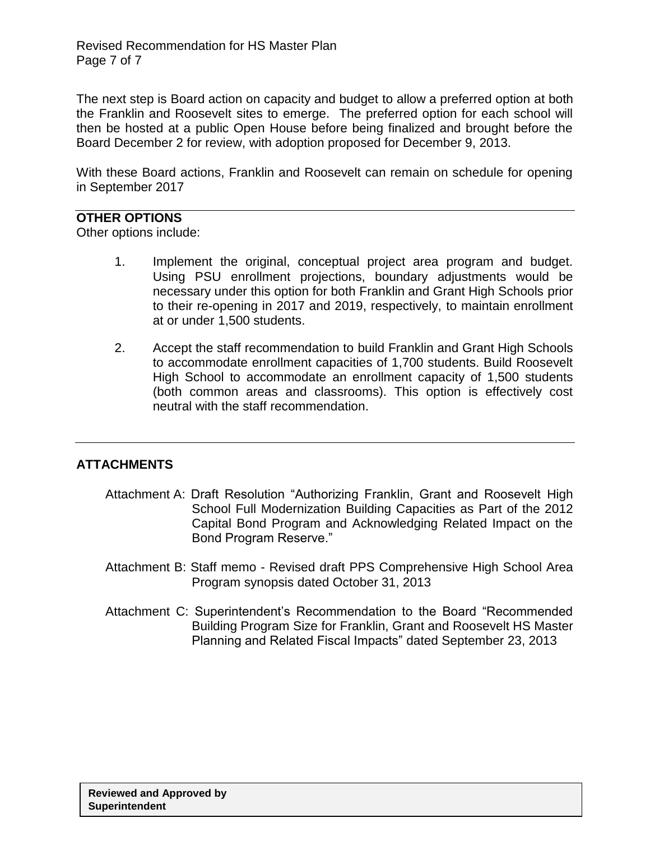The next step is Board action on capacity and budget to allow a preferred option at both the Franklin and Roosevelt sites to emerge. The preferred option for each school will then be hosted at a public Open House before being finalized and brought before the Board December 2 for review, with adoption proposed for December 9, 2013.

With these Board actions, Franklin and Roosevelt can remain on schedule for opening in September 2017

# **OTHER OPTIONS**

Other options include:

- 1. Implement the original, conceptual project area program and budget. Using PSU enrollment projections, boundary adjustments would be necessary under this option for both Franklin and Grant High Schools prior to their re-opening in 2017 and 2019, respectively, to maintain enrollment at or under 1,500 students.
- 2. Accept the staff recommendation to build Franklin and Grant High Schools to accommodate enrollment capacities of 1,700 students. Build Roosevelt High School to accommodate an enrollment capacity of 1,500 students (both common areas and classrooms). This option is effectively cost neutral with the staff recommendation.

# **ATTACHMENTS**

- Attachment A: Draft Resolution "Authorizing Franklin, Grant and Roosevelt High School Full Modernization Building Capacities as Part of the 2012 Capital Bond Program and Acknowledging Related Impact on the Bond Program Reserve."
- Attachment B: Staff memo Revised draft PPS Comprehensive High School Area Program synopsis dated October 31, 2013
- Attachment C: Superintendent's Recommendation to the Board "Recommended Building Program Size for Franklin, Grant and Roosevelt HS Master Planning and Related Fiscal Impacts" dated September 23, 2013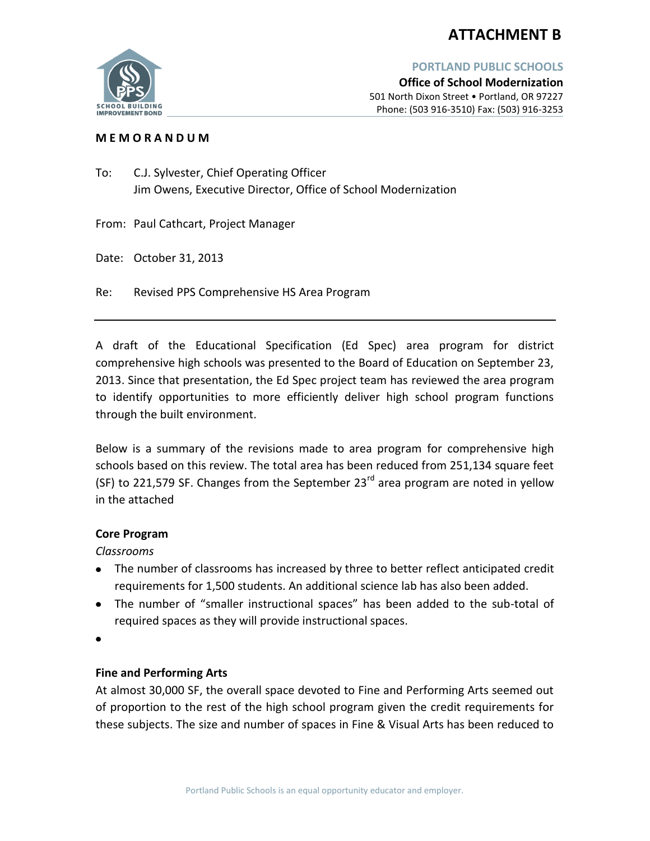# **ATTACHMENT B**



**Office of School Modernization** 501 North Dixon Street • Portland, OR 97227 Phone: (503 916-3510) Fax: (503) 916-3253

## **M E M O R A N D U M**

To: C.J. Sylvester, Chief Operating Officer Jim Owens, Executive Director, Office of School Modernization

From: Paul Cathcart, Project Manager

Date: October 31, 2013

Re: Revised PPS Comprehensive HS Area Program

A draft of the Educational Specification (Ed Spec) area program for district comprehensive high schools was presented to the Board of Education on September 23, 2013. Since that presentation, the Ed Spec project team has reviewed the area program to identify opportunities to more efficiently deliver high school program functions through the built environment.

Below is a summary of the revisions made to area program for comprehensive high schools based on this review. The total area has been reduced from 251,134 square feet (SF) to 221,579 SF. Changes from the September  $23<sup>rd</sup>$  area program are noted in yellow in the attached

## **Core Program**

*Classrooms*

- The number of classrooms has increased by three to better reflect anticipated credit requirements for 1,500 students. An additional science lab has also been added.
- The number of "smaller instructional spaces" has been added to the sub-total of required spaces as they will provide instructional spaces.

## **Fine and Performing Arts**

At almost 30,000 SF, the overall space devoted to Fine and Performing Arts seemed out of proportion to the rest of the high school program given the credit requirements for these subjects. The size and number of spaces in Fine & Visual Arts has been reduced to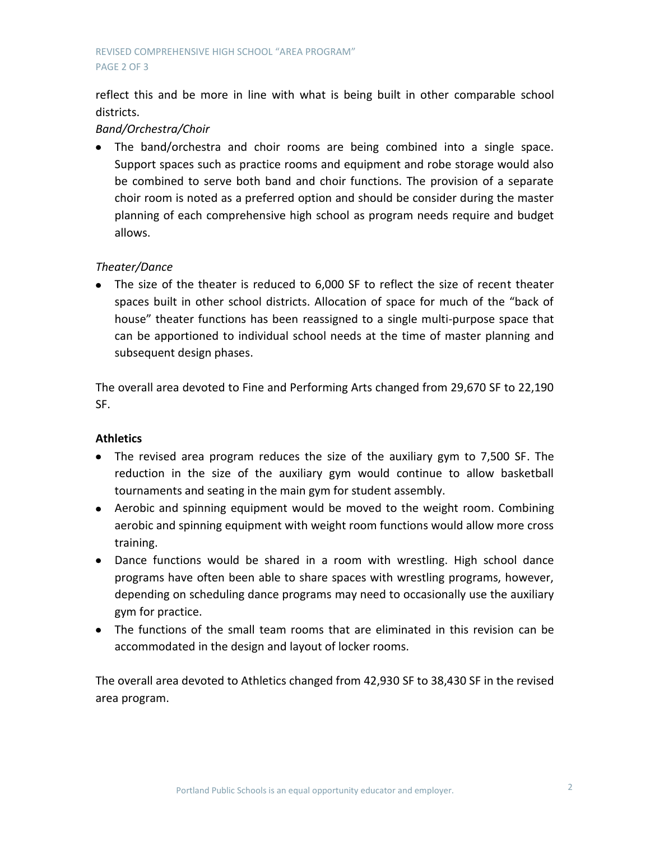reflect this and be more in line with what is being built in other comparable school districts.

# *Band/Orchestra/Choir*

The band/orchestra and choir rooms are being combined into a single space. Support spaces such as practice rooms and equipment and robe storage would also be combined to serve both band and choir functions. The provision of a separate choir room is noted as a preferred option and should be consider during the master planning of each comprehensive high school as program needs require and budget allows.

# *Theater/Dance*

The size of the theater is reduced to 6,000 SF to reflect the size of recent theater spaces built in other school districts. Allocation of space for much of the "back of house" theater functions has been reassigned to a single multi-purpose space that can be apportioned to individual school needs at the time of master planning and subsequent design phases.

The overall area devoted to Fine and Performing Arts changed from 29,670 SF to 22,190 SF.

## **Athletics**

- The revised area program reduces the size of the auxiliary gym to 7,500 SF. The reduction in the size of the auxiliary gym would continue to allow basketball tournaments and seating in the main gym for student assembly.
- Aerobic and spinning equipment would be moved to the weight room. Combining aerobic and spinning equipment with weight room functions would allow more cross training.
- Dance functions would be shared in a room with wrestling. High school dance programs have often been able to share spaces with wrestling programs, however, depending on scheduling dance programs may need to occasionally use the auxiliary gym for practice.
- The functions of the small team rooms that are eliminated in this revision can be accommodated in the design and layout of locker rooms.

The overall area devoted to Athletics changed from 42,930 SF to 38,430 SF in the revised area program.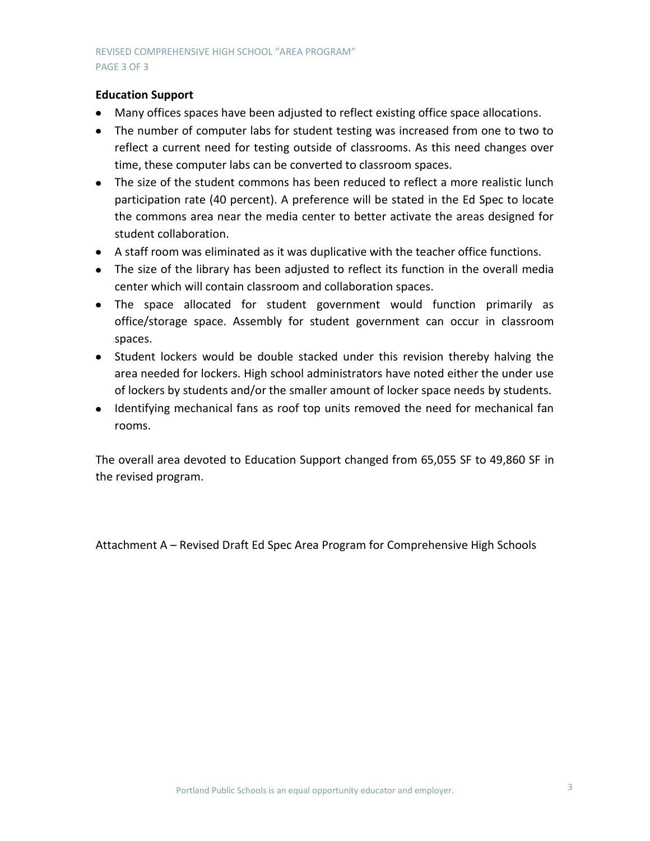## **Education Support**

- Many offices spaces have been adjusted to reflect existing office space allocations.
- The number of computer labs for student testing was increased from one to two to reflect a current need for testing outside of classrooms. As this need changes over time, these computer labs can be converted to classroom spaces.
- The size of the student commons has been reduced to reflect a more realistic lunch participation rate (40 percent). A preference will be stated in the Ed Spec to locate the commons area near the media center to better activate the areas designed for student collaboration.
- A staff room was eliminated as it was duplicative with the teacher office functions.
- The size of the library has been adjusted to reflect its function in the overall media center which will contain classroom and collaboration spaces.
- The space allocated for student government would function primarily as office/storage space. Assembly for student government can occur in classroom spaces.
- Student lockers would be double stacked under this revision thereby halving the area needed for lockers. High school administrators have noted either the under use of lockers by students and/or the smaller amount of locker space needs by students.
- Identifying mechanical fans as roof top units removed the need for mechanical fan rooms.

The overall area devoted to Education Support changed from 65,055 SF to 49,860 SF in the revised program.

Attachment A – Revised Draft Ed Spec Area Program for Comprehensive High Schools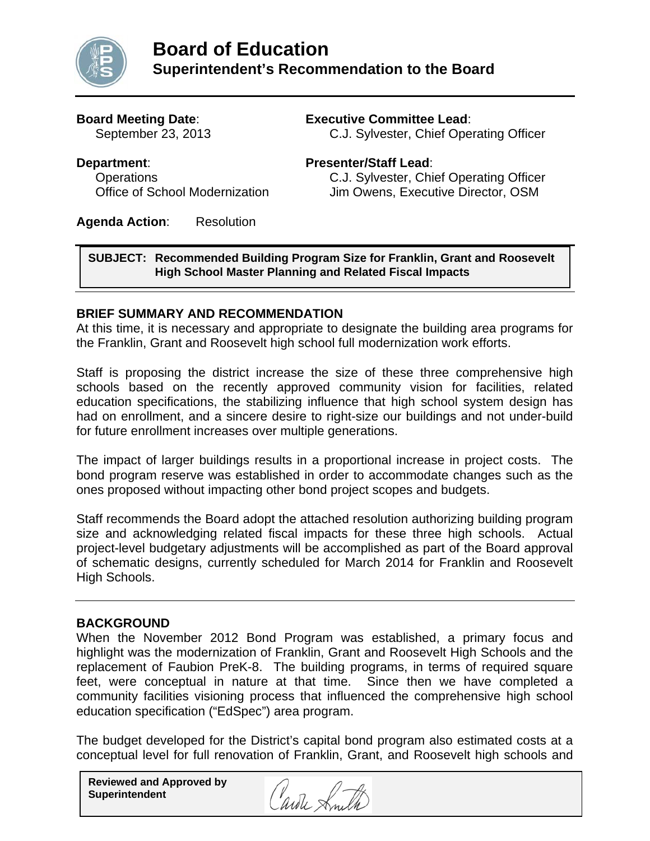

# **Board Meeting Date**: **Executive Committee Lead**:

September 23, 2013 C.J. Sylvester, Chief Operating Officer

# **Department**: **Presenter/Staff Lead**:

 Operations C.J. Sylvester, Chief Operating Officer Office of School Modernization Jim Owens, Executive Director, OSM

**Agenda Action**: Resolution

# **SUBJECT: Recommended Building Program Size for Franklin, Grant and Roosevelt High School Master Planning and Related Fiscal Impacts**

# **BRIEF SUMMARY AND RECOMMENDATION**

At this time, it is necessary and appropriate to designate the building area programs for the Franklin, Grant and Roosevelt high school full modernization work efforts.

Staff is proposing the district increase the size of these three comprehensive high schools based on the recently approved community vision for facilities, related education specifications, the stabilizing influence that high school system design has had on enrollment, and a sincere desire to right-size our buildings and not under-build for future enrollment increases over multiple generations.

The impact of larger buildings results in a proportional increase in project costs. The bond program reserve was established in order to accommodate changes such as the ones proposed without impacting other bond project scopes and budgets.

Staff recommends the Board adopt the attached resolution authorizing building program size and acknowledging related fiscal impacts for these three high schools. Actual project-level budgetary adjustments will be accomplished as part of the Board approval of schematic designs, currently scheduled for March 2014 for Franklin and Roosevelt High Schools.

# **BACKGROUND**

When the November 2012 Bond Program was established, a primary focus and highlight was the modernization of Franklin, Grant and Roosevelt High Schools and the replacement of Faubion PreK-8. The building programs, in terms of required square feet, were conceptual in nature at that time. Since then we have completed a community facilities visioning process that influenced the comprehensive high school education specification ("EdSpec") area program.

The budget developed for the District's capital bond program also estimated costs at a conceptual level for full renovation of Franklin, Grant, and Roosevelt high schools and

**Reviewed and Approved by Superintendent** 

Carole Smi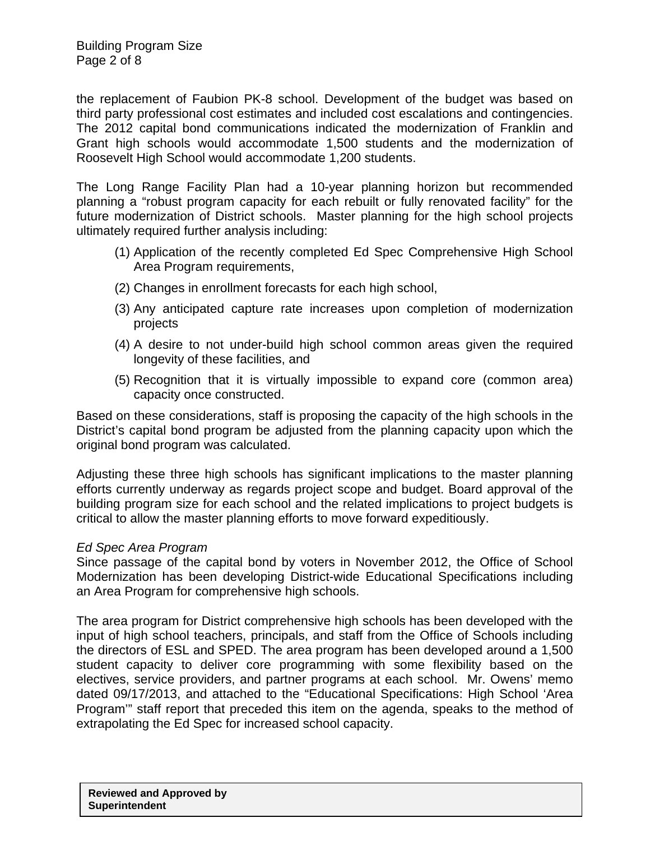the replacement of Faubion PK-8 school. Development of the budget was based on third party professional cost estimates and included cost escalations and contingencies. The 2012 capital bond communications indicated the modernization of Franklin and Grant high schools would accommodate 1,500 students and the modernization of Roosevelt High School would accommodate 1,200 students.

The Long Range Facility Plan had a 10-year planning horizon but recommended planning a "robust program capacity for each rebuilt or fully renovated facility" for the future modernization of District schools. Master planning for the high school projects ultimately required further analysis including:

- (1) Application of the recently completed Ed Spec Comprehensive High School Area Program requirements,
- (2) Changes in enrollment forecasts for each high school,
- (3) Any anticipated capture rate increases upon completion of modernization projects
- (4) A desire to not under-build high school common areas given the required longevity of these facilities, and
- (5) Recognition that it is virtually impossible to expand core (common area) capacity once constructed.

Based on these considerations, staff is proposing the capacity of the high schools in the District's capital bond program be adjusted from the planning capacity upon which the original bond program was calculated.

Adjusting these three high schools has significant implications to the master planning efforts currently underway as regards project scope and budget. Board approval of the building program size for each school and the related implications to project budgets is critical to allow the master planning efforts to move forward expeditiously.

# *Ed Spec Area Program*

Since passage of the capital bond by voters in November 2012, the Office of School Modernization has been developing District-wide Educational Specifications including an Area Program for comprehensive high schools.

The area program for District comprehensive high schools has been developed with the input of high school teachers, principals, and staff from the Office of Schools including the directors of ESL and SPED. The area program has been developed around a 1,500 student capacity to deliver core programming with some flexibility based on the electives, service providers, and partner programs at each school. Mr. Owens' memo dated 09/17/2013, and attached to the "Educational Specifications: High School 'Area Program'" staff report that preceded this item on the agenda, speaks to the method of extrapolating the Ed Spec for increased school capacity.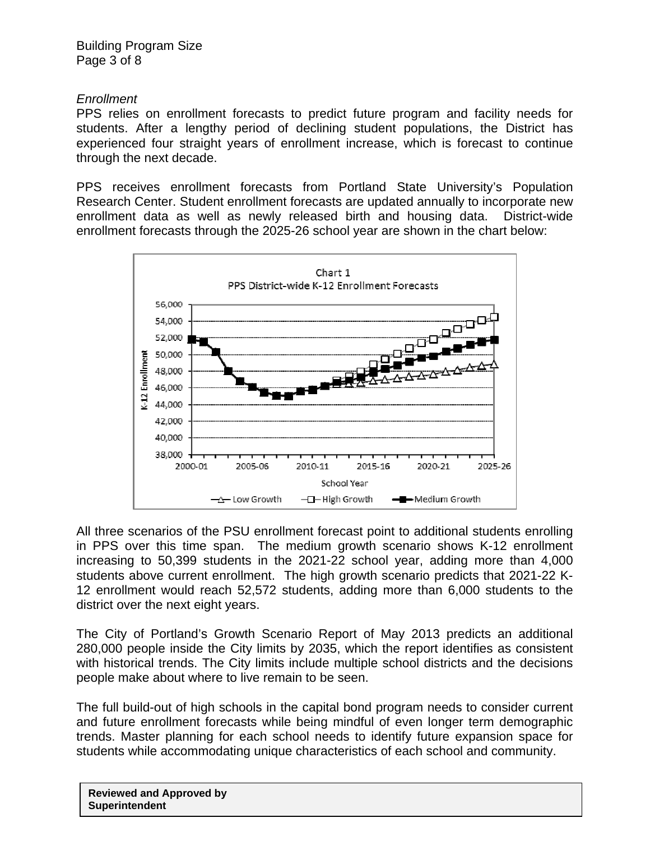Building Program Size Page 3 of 8

# *Enrollment*

PPS relies on enrollment forecasts to predict future program and facility needs for students. After a lengthy period of declining student populations, the District has experienced four straight years of enrollment increase, which is forecast to continue through the next decade.

PPS receives enrollment forecasts from Portland State University's Population Research Center. Student enrollment forecasts are updated annually to incorporate new enrollment data as well as newly released birth and housing data. District-wide enrollment forecasts through the 2025-26 school year are shown in the chart below:



All three scenarios of the PSU enrollment forecast point to additional students enrolling in PPS over this time span. The medium growth scenario shows K-12 enrollment increasing to 50,399 students in the 2021-22 school year, adding more than 4,000 students above current enrollment. The high growth scenario predicts that 2021-22 K-12 enrollment would reach 52,572 students, adding more than 6,000 students to the district over the next eight years.

The City of Portland's Growth Scenario Report of May 2013 predicts an additional 280,000 people inside the City limits by 2035, which the report identifies as consistent with historical trends. The City limits include multiple school districts and the decisions people make about where to live remain to be seen.

The full build-out of high schools in the capital bond program needs to consider current and future enrollment forecasts while being mindful of even longer term demographic trends. Master planning for each school needs to identify future expansion space for students while accommodating unique characteristics of each school and community.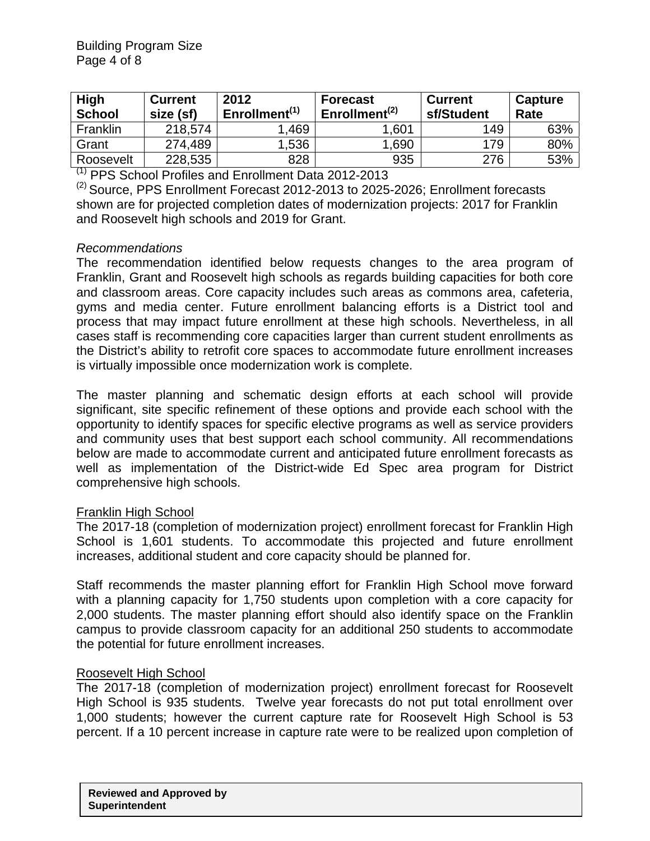| High<br><b>Current</b><br><b>School</b><br>size (sf) |         | 2012<br>Enrollment <sup>(1)</sup> | <b>Forecast</b><br>Enrollment <sup>(2)</sup> | <b>Current</b><br>sf/Student | Capture<br>Rate |  |
|------------------------------------------------------|---------|-----------------------------------|----------------------------------------------|------------------------------|-----------------|--|
| Franklin                                             | 218,574 | .469                              | 1,601                                        | 149                          | 63%             |  |
| Grant                                                | 274,489 | 1,536                             | 1,690                                        | 179                          | 80%             |  |
| Roosevelt<br>- - - -                                 | 228,535 | 828                               | 935                                          | 276                          | 53%             |  |

(1) PPS School Profiles and Enrollment Data 2012-2013

 $(2)$  Source, PPS Enrollment Forecast 2012-2013 to 2025-2026; Enrollment forecasts shown are for projected completion dates of modernization projects: 2017 for Franklin and Roosevelt high schools and 2019 for Grant.

# *Recommendations*

The recommendation identified below requests changes to the area program of Franklin, Grant and Roosevelt high schools as regards building capacities for both core and classroom areas. Core capacity includes such areas as commons area, cafeteria, gyms and media center. Future enrollment balancing efforts is a District tool and process that may impact future enrollment at these high schools. Nevertheless, in all cases staff is recommending core capacities larger than current student enrollments as the District's ability to retrofit core spaces to accommodate future enrollment increases is virtually impossible once modernization work is complete.

The master planning and schematic design efforts at each school will provide significant, site specific refinement of these options and provide each school with the opportunity to identify spaces for specific elective programs as well as service providers and community uses that best support each school community. All recommendations below are made to accommodate current and anticipated future enrollment forecasts as well as implementation of the District-wide Ed Spec area program for District comprehensive high schools.

# Franklin High School

The 2017-18 (completion of modernization project) enrollment forecast for Franklin High School is 1,601 students. To accommodate this projected and future enrollment increases, additional student and core capacity should be planned for.

Staff recommends the master planning effort for Franklin High School move forward with a planning capacity for 1,750 students upon completion with a core capacity for 2,000 students. The master planning effort should also identify space on the Franklin campus to provide classroom capacity for an additional 250 students to accommodate the potential for future enrollment increases.

# Roosevelt High School

The 2017-18 (completion of modernization project) enrollment forecast for Roosevelt High School is 935 students. Twelve year forecasts do not put total enrollment over 1,000 students; however the current capture rate for Roosevelt High School is 53 percent. If a 10 percent increase in capture rate were to be realized upon completion of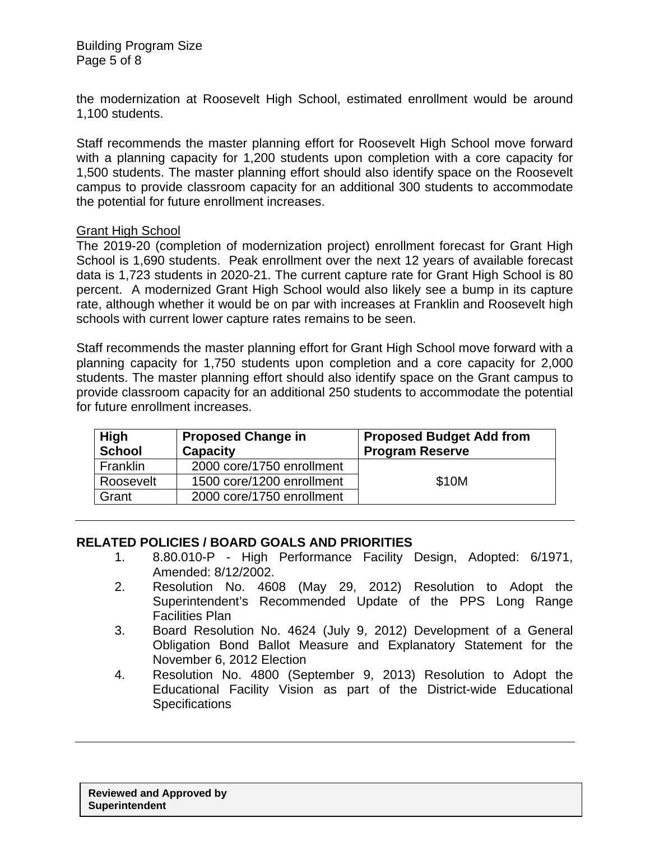the modernization at Roosevelt High School, estimated enrollment would be around 1,100 students.

Staff recommends the master planning effort for Roosevelt High School move forward with a planning capacity for 1,200 students upon completion with a core capacity for 1,500 students. The master planning effort should also identify space on the Roosevelt campus to provide classroom capacity for an additional 300 students to accommodate the potential for future enrollment increases.

# Grant High School

The 2019-20 (completion of modernization project) enrollment forecast for Grant High School is 1,690 students. Peak enrollment over the next 12 years of available forecast data is 1,723 students in 2020-21. The current capture rate for Grant High School is 80 percent. A modernized Grant High School would also likely see a bump in its capture rate, although whether it would be on par with increases at Franklin and Roosevelt high schools with current lower capture rates remains to be seen.

Staff recommends the master planning effort for Grant High School move forward with a planning capacity for 1,750 students upon completion and a core capacity for 2,000 students. The master planning effort should also identify space on the Grant campus to provide classroom capacity for an additional 250 students to accommodate the potential for future enrollment increases.

| <b>High</b><br><b>Proposed Change in</b><br><b>School</b><br><b>Capacity</b> |                           | <b>Proposed Budget Add from</b><br><b>Program Reserve</b> |  |  |
|------------------------------------------------------------------------------|---------------------------|-----------------------------------------------------------|--|--|
| Franklin                                                                     | 2000 core/1750 enrollment |                                                           |  |  |
| 1500 core/1200 enrollment<br>Roosevelt                                       |                           | \$10M                                                     |  |  |
| Grant                                                                        | 2000 core/1750 enrollment |                                                           |  |  |

# **RELATED POLICIES / BOARD GOALS AND PRIORITIES**

- 1. 8.80.010-P High Performance Facility Design, Adopted: 6/1971, Amended: 8/12/2002.
- 2. Resolution No. 4608 (May 29, 2012) Resolution to Adopt the Superintendent's Recommended Update of the PPS Long Range Facilities Plan
- 3. Board Resolution No. 4624 (July 9, 2012) Development of a General Obligation Bond Ballot Measure and Explanatory Statement for the November 6, 2012 Election
- 4. Resolution No. 4800 (September 9, 2013) Resolution to Adopt the Educational Facility Vision as part of the District-wide Educational **Specifications**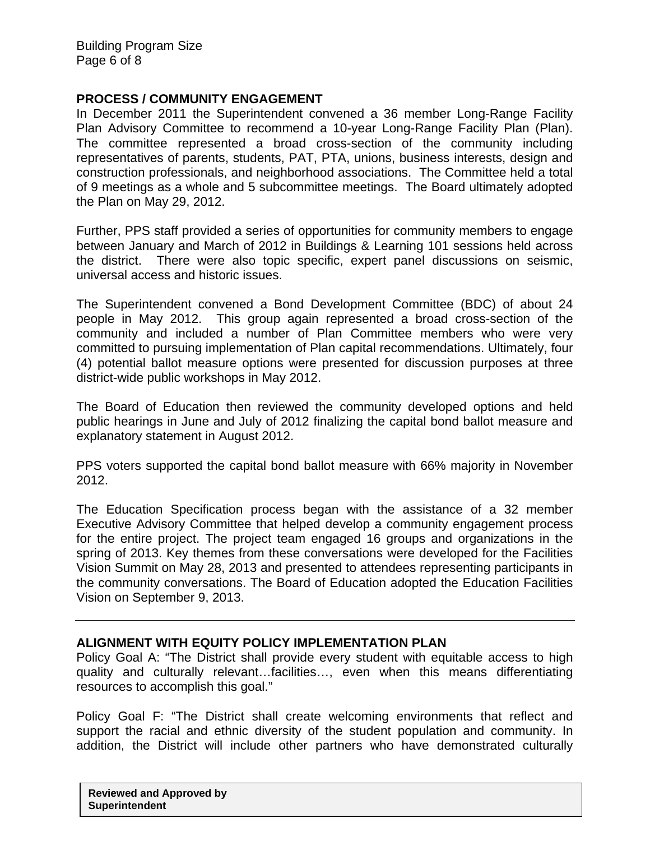# **PROCESS / COMMUNITY ENGAGEMENT**

In December 2011 the Superintendent convened a 36 member Long-Range Facility Plan Advisory Committee to recommend a 10-year Long-Range Facility Plan (Plan). The committee represented a broad cross-section of the community including representatives of parents, students, PAT, PTA, unions, business interests, design and construction professionals, and neighborhood associations. The Committee held a total of 9 meetings as a whole and 5 subcommittee meetings. The Board ultimately adopted the Plan on May 29, 2012.

Further, PPS staff provided a series of opportunities for community members to engage between January and March of 2012 in Buildings & Learning 101 sessions held across the district. There were also topic specific, expert panel discussions on seismic, universal access and historic issues.

The Superintendent convened a Bond Development Committee (BDC) of about 24 people in May 2012. This group again represented a broad cross-section of the community and included a number of Plan Committee members who were very committed to pursuing implementation of Plan capital recommendations. Ultimately, four (4) potential ballot measure options were presented for discussion purposes at three district-wide public workshops in May 2012.

The Board of Education then reviewed the community developed options and held public hearings in June and July of 2012 finalizing the capital bond ballot measure and explanatory statement in August 2012.

PPS voters supported the capital bond ballot measure with 66% majority in November 2012.

The Education Specification process began with the assistance of a 32 member Executive Advisory Committee that helped develop a community engagement process for the entire project. The project team engaged 16 groups and organizations in the spring of 2013. Key themes from these conversations were developed for the Facilities Vision Summit on May 28, 2013 and presented to attendees representing participants in the community conversations. The Board of Education adopted the Education Facilities Vision on September 9, 2013.

# **ALIGNMENT WITH EQUITY POLICY IMPLEMENTATION PLAN**

Policy Goal A: "The District shall provide every student with equitable access to high quality and culturally relevant…facilities…, even when this means differentiating resources to accomplish this goal."

Policy Goal F: "The District shall create welcoming environments that reflect and support the racial and ethnic diversity of the student population and community. In addition, the District will include other partners who have demonstrated culturally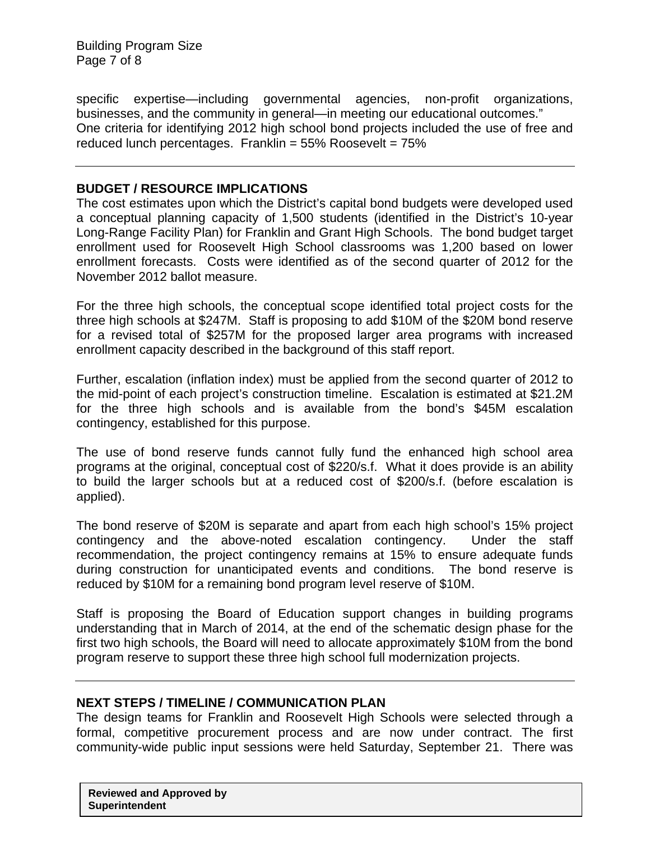Building Program Size Page 7 of 8

specific expertise—including governmental agencies, non-profit organizations, businesses, and the community in general—in meeting our educational outcomes." One criteria for identifying 2012 high school bond projects included the use of free and reduced lunch percentages. Franklin = 55% Roosevelt = 75%

# **BUDGET / RESOURCE IMPLICATIONS**

The cost estimates upon which the District's capital bond budgets were developed used a conceptual planning capacity of 1,500 students (identified in the District's 10-year Long-Range Facility Plan) for Franklin and Grant High Schools. The bond budget target enrollment used for Roosevelt High School classrooms was 1,200 based on lower enrollment forecasts. Costs were identified as of the second quarter of 2012 for the November 2012 ballot measure.

For the three high schools, the conceptual scope identified total project costs for the three high schools at \$247M. Staff is proposing to add \$10M of the \$20M bond reserve for a revised total of \$257M for the proposed larger area programs with increased enrollment capacity described in the background of this staff report.

Further, escalation (inflation index) must be applied from the second quarter of 2012 to the mid-point of each project's construction timeline. Escalation is estimated at \$21.2M for the three high schools and is available from the bond's \$45M escalation contingency, established for this purpose.

The use of bond reserve funds cannot fully fund the enhanced high school area programs at the original, conceptual cost of \$220/s.f. What it does provide is an ability to build the larger schools but at a reduced cost of \$200/s.f. (before escalation is applied).

The bond reserve of \$20M is separate and apart from each high school's 15% project contingency and the above-noted escalation contingency. Under the staff recommendation, the project contingency remains at 15% to ensure adequate funds during construction for unanticipated events and conditions. The bond reserve is reduced by \$10M for a remaining bond program level reserve of \$10M.

Staff is proposing the Board of Education support changes in building programs understanding that in March of 2014, at the end of the schematic design phase for the first two high schools, the Board will need to allocate approximately \$10M from the bond program reserve to support these three high school full modernization projects.

## **NEXT STEPS / TIMELINE / COMMUNICATION PLAN**

The design teams for Franklin and Roosevelt High Schools were selected through a formal, competitive procurement process and are now under contract. The first community-wide public input sessions were held Saturday, September 21. There was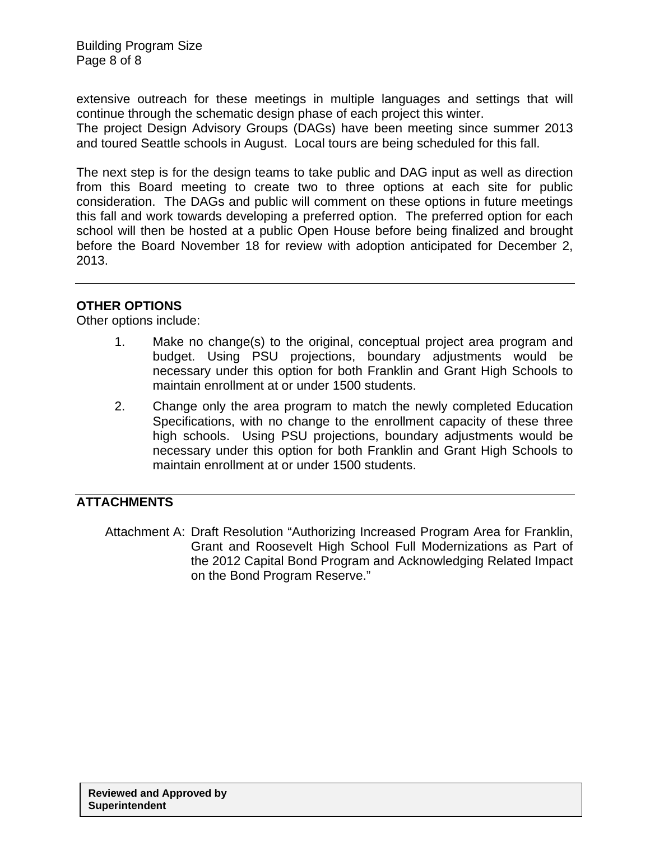extensive outreach for these meetings in multiple languages and settings that will continue through the schematic design phase of each project this winter.

The project Design Advisory Groups (DAGs) have been meeting since summer 2013 and toured Seattle schools in August. Local tours are being scheduled for this fall.

The next step is for the design teams to take public and DAG input as well as direction from this Board meeting to create two to three options at each site for public consideration. The DAGs and public will comment on these options in future meetings this fall and work towards developing a preferred option. The preferred option for each school will then be hosted at a public Open House before being finalized and brought before the Board November 18 for review with adoption anticipated for December 2, 2013.

# **OTHER OPTIONS**

Other options include:

- 1. Make no change(s) to the original, conceptual project area program and budget. Using PSU projections, boundary adjustments would be necessary under this option for both Franklin and Grant High Schools to maintain enrollment at or under 1500 students.
- 2. Change only the area program to match the newly completed Education Specifications, with no change to the enrollment capacity of these three high schools. Using PSU projections, boundary adjustments would be necessary under this option for both Franklin and Grant High Schools to maintain enrollment at or under 1500 students.

# **ATTACHMENTS**

Attachment A: Draft Resolution "Authorizing Increased Program Area for Franklin, Grant and Roosevelt High School Full Modernizations as Part of the 2012 Capital Bond Program and Acknowledging Related Impact on the Bond Program Reserve."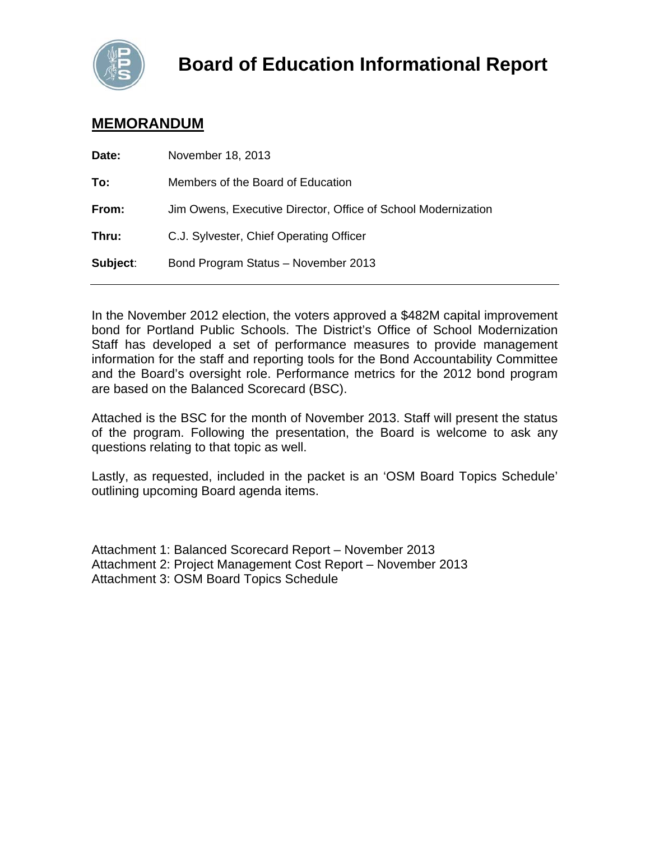

# **MEMORANDUM**

| Date:    | November 18, 2013                                             |
|----------|---------------------------------------------------------------|
| To:      | Members of the Board of Education                             |
| From:    | Jim Owens, Executive Director, Office of School Modernization |
| Thru:    | C.J. Sylvester, Chief Operating Officer                       |
| Subject: | Bond Program Status - November 2013                           |
|          |                                                               |

In the November 2012 election, the voters approved a \$482M capital improvement bond for Portland Public Schools. The District's Office of School Modernization Staff has developed a set of performance measures to provide management information for the staff and reporting tools for the Bond Accountability Committee and the Board's oversight role. Performance metrics for the 2012 bond program are based on the Balanced Scorecard (BSC).

Attached is the BSC for the month of November 2013. Staff will present the status of the program. Following the presentation, the Board is welcome to ask any questions relating to that topic as well.

Lastly, as requested, included in the packet is an 'OSM Board Topics Schedule' outlining upcoming Board agenda items.

Attachment 1: Balanced Scorecard Report – November 2013 Attachment 2: Project Management Cost Report – November 2013 Attachment 3: OSM Board Topics Schedule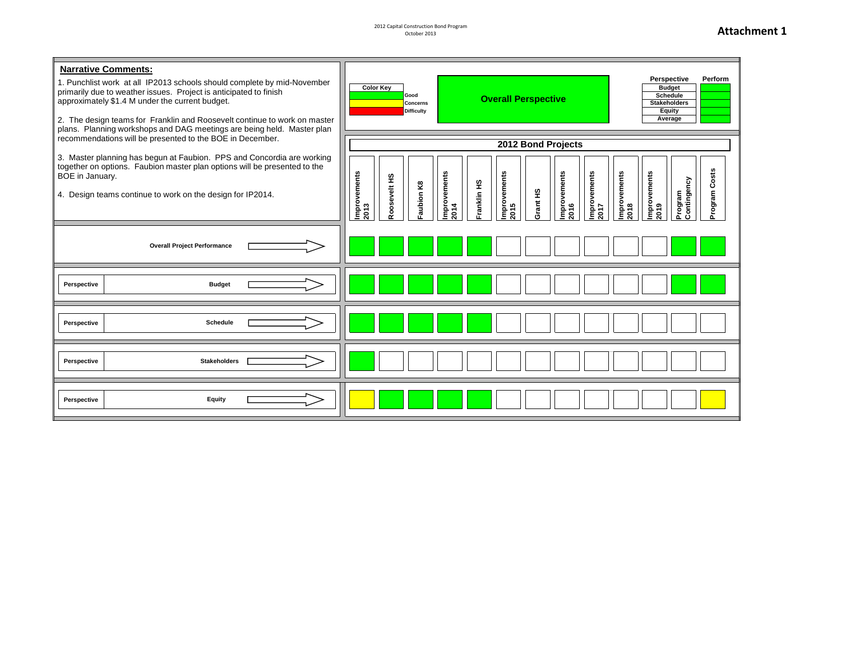2012 Capital Construction Bond Program October 2013

## **Attachment 1**

| <b>Narrative Comments:</b><br>1. Punchlist work at all IP2013 schools should complete by mid-November<br>primarily due to weather issues. Project is anticipated to finish<br>approximately \$1.4 M under the current budget.<br>2. The design teams for Franklin and Roosevelt continue to work on master<br>plans. Planning workshops and DAG meetings are being held. Master plan<br>recommendations will be presented to the BOE in December. | Perspective<br>Perform<br><b>Color Key</b><br><b>Budget</b><br>Schedule<br>Good<br><b>Overall Perspective</b><br><b>Concerns</b><br><b>Stakeholders</b><br><b>Equity</b><br><b>Difficulty</b><br>Average                                                                                        |  |  |  |  |
|---------------------------------------------------------------------------------------------------------------------------------------------------------------------------------------------------------------------------------------------------------------------------------------------------------------------------------------------------------------------------------------------------------------------------------------------------|-------------------------------------------------------------------------------------------------------------------------------------------------------------------------------------------------------------------------------------------------------------------------------------------------|--|--|--|--|
| 3. Master planning has begun at Faubion. PPS and Concordia are working<br>together on options. Faubion master plan options will be presented to the<br>BOE in January.<br>4. Design teams continue to work on the design for IP2014.                                                                                                                                                                                                              | 2012 Bond Projects<br>Costs<br>Improvements<br>2013<br>Improvements<br>Improvements<br>2016<br>Improvements<br>2017<br>Improvements<br>2015<br>mprovements<br>mprovements<br>Roosevelt HS<br>Program<br>Contingency<br>Franklin HS<br>Faubion K8<br>Grant HS<br>mengore<br>2018<br>2014<br>2019 |  |  |  |  |
| <b>Overall Project Performance</b>                                                                                                                                                                                                                                                                                                                                                                                                                |                                                                                                                                                                                                                                                                                                 |  |  |  |  |
| <b>Budget</b><br>Perspective                                                                                                                                                                                                                                                                                                                                                                                                                      |                                                                                                                                                                                                                                                                                                 |  |  |  |  |
| <b>Schedule</b><br>Perspective                                                                                                                                                                                                                                                                                                                                                                                                                    |                                                                                                                                                                                                                                                                                                 |  |  |  |  |
| Perspective<br><b>Stakeholders</b>                                                                                                                                                                                                                                                                                                                                                                                                                |                                                                                                                                                                                                                                                                                                 |  |  |  |  |
| Equity<br>Perspective                                                                                                                                                                                                                                                                                                                                                                                                                             |                                                                                                                                                                                                                                                                                                 |  |  |  |  |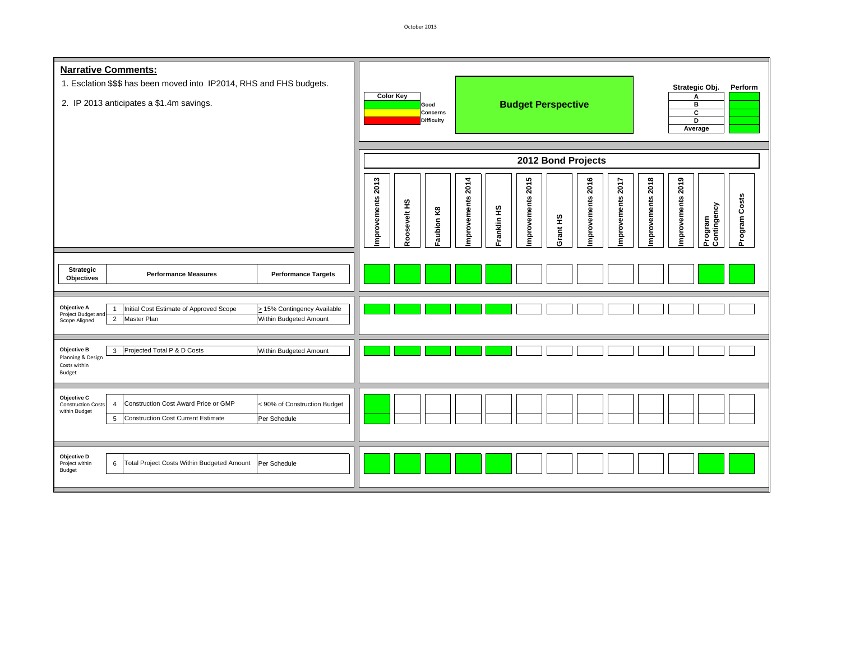| <b>Narrative Comments:</b><br>1. Esclation \$\$\$ has been moved into IP2014, RHS and FHS budgets.<br>2. IP 2013 anticipates a \$1.4m savings.                                                                                      | Strategic Obj.<br>Perform<br><b>Color Key</b><br>А<br><b>Budget Perspective</b><br>в<br>Good<br>c<br><b>Concerns</b><br><b>Difficulty</b><br>D<br>Average<br>2012 Bond Projects                                                              |  |  |  |  |
|-------------------------------------------------------------------------------------------------------------------------------------------------------------------------------------------------------------------------------------|----------------------------------------------------------------------------------------------------------------------------------------------------------------------------------------------------------------------------------------------|--|--|--|--|
|                                                                                                                                                                                                                                     | mprovements 2013<br>mprovements 2015<br>mprovements 2016<br>mprovements 2018<br>mprovements 2019<br>mprovements 2014<br>mprovements 2017<br>Program Costs<br>Roosevelt HS<br>Program<br>Contingency<br>Franklin HS<br>Faubion K8<br>Grant HS |  |  |  |  |
| <b>Strategic</b><br><b>Performance Measures</b><br><b>Performance Targets</b><br>Objectives                                                                                                                                         |                                                                                                                                                                                                                                              |  |  |  |  |
| Objective A<br>Initial Cost Estimate of Approved Scope<br>> 15% Contingency Available<br>Project Budget ar<br>Master Plan<br>$\overline{2}$<br>Within Budgeted Amount<br>Scope Aligned                                              |                                                                                                                                                                                                                                              |  |  |  |  |
| <b>Objective B</b><br>Projected Total P & D Costs<br>$\mathbf{3}$<br>Within Budgeted Amount<br>Planning & Design<br>Costs within<br><b>Budget</b>                                                                                   |                                                                                                                                                                                                                                              |  |  |  |  |
| Objective C<br>Construction Cost Award Price or GMP<br>< 90% of Construction Budget<br><b>Construction Costs</b><br>$\overline{4}$<br>within Budget<br>$5\phantom{.0}$<br><b>Construction Cost Current Estimate</b><br>Per Schedule |                                                                                                                                                                                                                                              |  |  |  |  |
| Objective D<br>Total Project Costs Within Budgeted Amount<br>6<br>Per Schedule<br>Project within<br>Budget                                                                                                                          |                                                                                                                                                                                                                                              |  |  |  |  |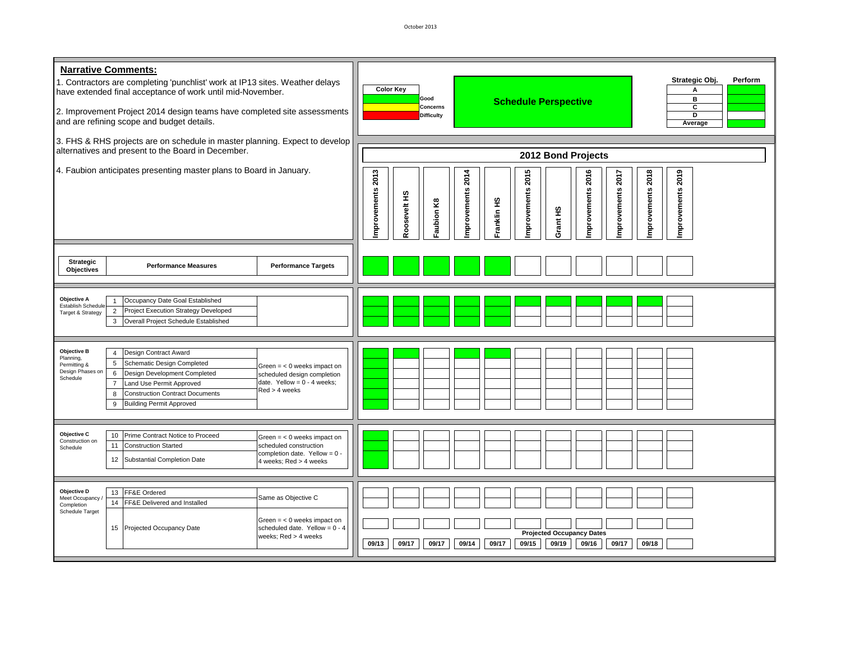| <b>Narrative Comments:</b><br>1. Contractors are completing 'punchlist' work at IP13 sites. Weather delays<br>have extended final acceptance of work until mid-November.<br>2. Improvement Project 2014 design teams have completed site assessments<br>and are refining scope and budget details. |                                                                                                                                                                                                                                                      |                                                                                                                  | Strategic Obj.<br>Perform<br><b>Color Key</b><br>Α<br>B<br>Good<br><b>Schedule Perspective</b><br>c<br>Concerns<br>Þ<br><b>Difficulty</b><br>Average                                                          |
|----------------------------------------------------------------------------------------------------------------------------------------------------------------------------------------------------------------------------------------------------------------------------------------------------|------------------------------------------------------------------------------------------------------------------------------------------------------------------------------------------------------------------------------------------------------|------------------------------------------------------------------------------------------------------------------|---------------------------------------------------------------------------------------------------------------------------------------------------------------------------------------------------------------|
|                                                                                                                                                                                                                                                                                                    | 3. FHS & RHS projects are on schedule in master planning. Expect to develop<br>alternatives and present to the Board in December.                                                                                                                    |                                                                                                                  | 2012 Bond Projects                                                                                                                                                                                            |
| 4. Faubion anticipates presenting master plans to Board in January.                                                                                                                                                                                                                                |                                                                                                                                                                                                                                                      |                                                                                                                  | 2013<br>2015<br>mprovements 2018<br>mprovements 2019<br>2014<br>mprovements 2016<br>2017<br>mprovements<br>mprovements<br>mprovements<br>mprovements<br>Roosevelt HS<br>Franklin HS<br>Faubion K8<br>Grant HS |
| Strategic<br><b>Objectives</b>                                                                                                                                                                                                                                                                     | <b>Performance Measures</b>                                                                                                                                                                                                                          | <b>Performance Targets</b>                                                                                       |                                                                                                                                                                                                               |
| Objective A<br><b>Establish Scheduk</b><br>Target & Strategy                                                                                                                                                                                                                                       | Occupancy Date Goal Established<br>$\overline{2}$<br><b>Project Execution Strategy Developed</b><br>Overall Project Schedule Established<br>3                                                                                                        |                                                                                                                  |                                                                                                                                                                                                               |
| <b>Objective B</b><br>Planning,<br>Permitting &<br>Design Phases o<br>Schedule                                                                                                                                                                                                                     | Design Contract Award<br>$\overline{4}$<br>Schematic Design Completed<br>5<br>6<br>Design Development Completed<br>Land Use Permit Approved<br>$\overline{7}$<br><b>Construction Contract Documents</b><br>8<br><b>Building Permit Approved</b><br>9 | Green $=$ < 0 weeks impact on<br>scheduled design completion<br>date. Yellow = $0 - 4$ weeks;<br>Red > 4 weeks   |                                                                                                                                                                                                               |
| Objective C<br>Construction on<br>Schedule                                                                                                                                                                                                                                                         | Prime Contract Notice to Proceed<br>10<br>11<br><b>Construction Started</b><br>Substantial Completion Date<br>12                                                                                                                                     | Green $=$ < 0 weeks impact on<br>scheduled construction<br>completion date. Yellow = $0$<br>weeks; Red > 4 weeks |                                                                                                                                                                                                               |
| Objective D<br>Meet Occupancy<br>Completion<br>Schedule Target                                                                                                                                                                                                                                     | 13 FF&E Ordered<br>14 FF&E Delivered and Installed<br>15 Projected Occupancy Date                                                                                                                                                                    | Same as Objective C<br>Green $=$ < 0 weeks impact on<br>scheduled date. Yellow = $0 - 4$<br>weeks; Red > 4 weeks | <b>Projected Occupancy Dates</b><br>09/17<br>09/14<br>09/17<br>09/15<br>09/19<br>09/16<br>09/17<br>09/18<br>09/13<br>09/17                                                                                    |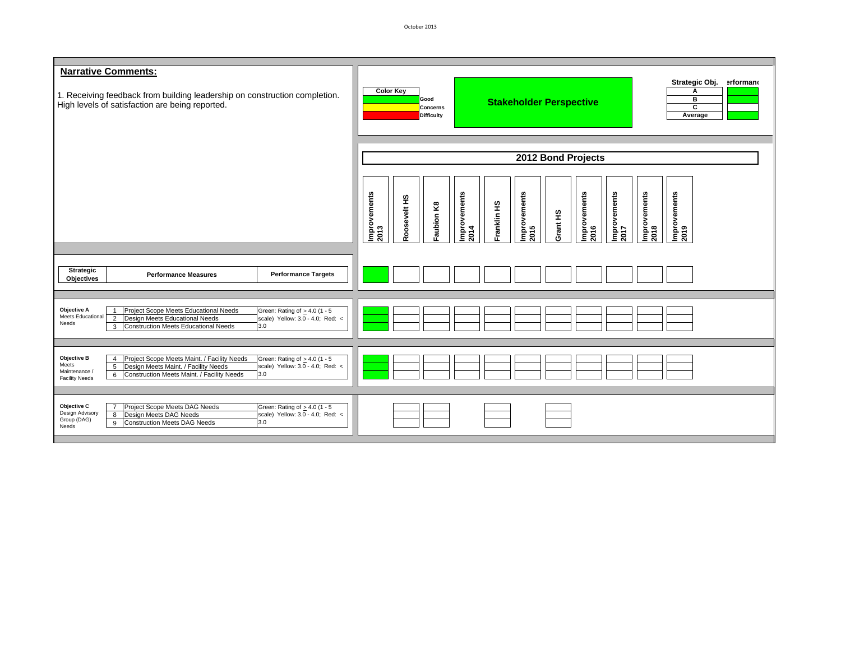| <b>Narrative Comments:</b><br>1. Receiving feedback from building leadership on construction completion.<br>High levels of satisfaction are being reported.                                                                                                                                                                           | Strategic Obj.<br>erformano<br><b>Color Key</b><br>Α<br>в<br>Good<br><b>Stakeholder Perspective</b><br>c<br><b>Concerns</b><br>Average<br><b>Difficulty</b>                                                                    |  |  |  |  |
|---------------------------------------------------------------------------------------------------------------------------------------------------------------------------------------------------------------------------------------------------------------------------------------------------------------------------------------|--------------------------------------------------------------------------------------------------------------------------------------------------------------------------------------------------------------------------------|--|--|--|--|
|                                                                                                                                                                                                                                                                                                                                       | 2012 Bond Projects                                                                                                                                                                                                             |  |  |  |  |
|                                                                                                                                                                                                                                                                                                                                       | Improvements<br> 2017<br>Improvements<br>2018<br>Improvements<br>2019<br>Improvements<br>2013<br>Improvements<br>2014<br>Improvements<br>2015<br>Improvements<br>Roosevelt HS<br>Franklin HS<br>Faubion K8<br>Grant HS<br>2016 |  |  |  |  |
| Strategic<br><b>Performance Targets</b><br><b>Performance Measures</b><br><b>Objectives</b>                                                                                                                                                                                                                                           |                                                                                                                                                                                                                                |  |  |  |  |
| Objective A<br>Project Scope Meets Educational Needs<br>Green: Rating of $\geq 4.0$ (1 - 5<br>$\overline{1}$<br>Meets Educational<br>Design Meets Educational Needs<br>$\overline{2}$<br>scale) Yellow: 3.0 - 4.0; Red: <<br>Needs<br><b>Construction Meets Educational Needs</b><br>3.0<br>3                                         |                                                                                                                                                                                                                                |  |  |  |  |
| Project Scope Meets Maint. / Facility Needs<br><b>Objective B</b><br>Green: Rating of $\geq 4.0$ (1 - 5<br>$\overline{4}$<br>Meets<br>Design Meets Maint. / Facility Needs<br>scale) Yellow: 3.0 - 4.0; Red: <<br>$5\phantom{.0}$<br>Maintenance /<br>3.0<br>Construction Meets Maint. / Facility Needs<br>6<br><b>Facility Needs</b> |                                                                                                                                                                                                                                |  |  |  |  |
| Objective C<br>Project Scope Meets DAG Needs<br>$\overline{7}$<br>Green: Rating of $\geq 4.0$ (1 - 5<br>Design Advisory<br>scale) Yellow: 3.0 - 4.0; Red: <<br>Design Meets DAG Needs<br>8<br>Group (DAG)<br><b>Construction Meets DAG Needs</b><br>3.0<br>9<br>Needs                                                                 |                                                                                                                                                                                                                                |  |  |  |  |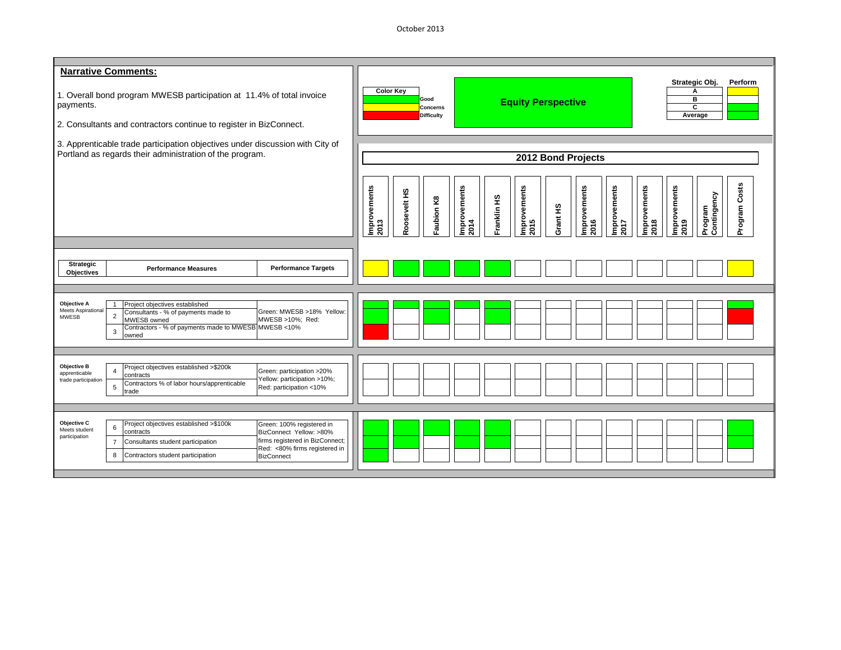October 2013

| <b>Narrative Comments:</b><br>1. Overall bond program MWESB participation at 11.4% of total invoice<br>payments.<br>2. Consultants and contractors continue to register in BizConnect.<br>3. Apprenticable trade participation objectives under discussion with City of<br>Portland as regards their administration of the program.                         | Strategic Obj.<br>Perform<br><b>Color Key</b><br>А<br>Good<br>в<br><b>Equity Perspective</b><br>c<br><b>Concerns</b><br>Average<br><b>Difficulty</b><br>2012 Bond Projects<br>Program Costs<br>Improvements<br>2014<br>Improvements<br>2016<br>Improvements<br>2017<br> Improvements<br> 2018<br>mprovements<br>Improvements<br>2013<br>mprovements |
|-------------------------------------------------------------------------------------------------------------------------------------------------------------------------------------------------------------------------------------------------------------------------------------------------------------------------------------------------------------|-----------------------------------------------------------------------------------------------------------------------------------------------------------------------------------------------------------------------------------------------------------------------------------------------------------------------------------------------------|
| <b>Strategic</b><br><b>Performance Measures</b><br><b>Performance Targets</b><br><b>Objectives</b>                                                                                                                                                                                                                                                          | Roosevelt HS<br>Program<br>Contingency<br>Franklin HS<br>Faubion K8<br>Grant HS<br>2015<br>2019                                                                                                                                                                                                                                                     |
| Objective A<br>Project objectives established<br>$\mathbf{1}$<br><b>Meets Aspirational</b><br>Green: MWESB >18% Yellow:<br>Consultants - % of payments made to<br>$\overline{2}$<br><b>MWESB</b><br>MWESB >10%; Red:<br>MWESB owned<br>Contractors - % of payments made to MWESB MWESB <10%<br>$\mathbf{3}$<br>owned                                        |                                                                                                                                                                                                                                                                                                                                                     |
| Objective B<br>Project objectives established >\$200k<br>Green: participation >20%<br>$\overline{4}$<br>apprenticable<br>contracts<br>Yellow: participation >10%;<br>trade participation<br>Contractors % of labor hours/apprenticable<br>$5\phantom{.0}$<br>Red: participation <10%<br>trade                                                               |                                                                                                                                                                                                                                                                                                                                                     |
| Objective C<br>Project objectives established >\$100k<br>Green: 100% registered in<br>6<br>Meets student<br>contracts<br>BizConnect Yellow: >80%<br>participation<br>firms registered in BizConnect;<br>Consultants student participation<br>$\overline{7}$<br>Red: <80% firms registered in<br>8<br>Contractors student participation<br><b>BizConnect</b> |                                                                                                                                                                                                                                                                                                                                                     |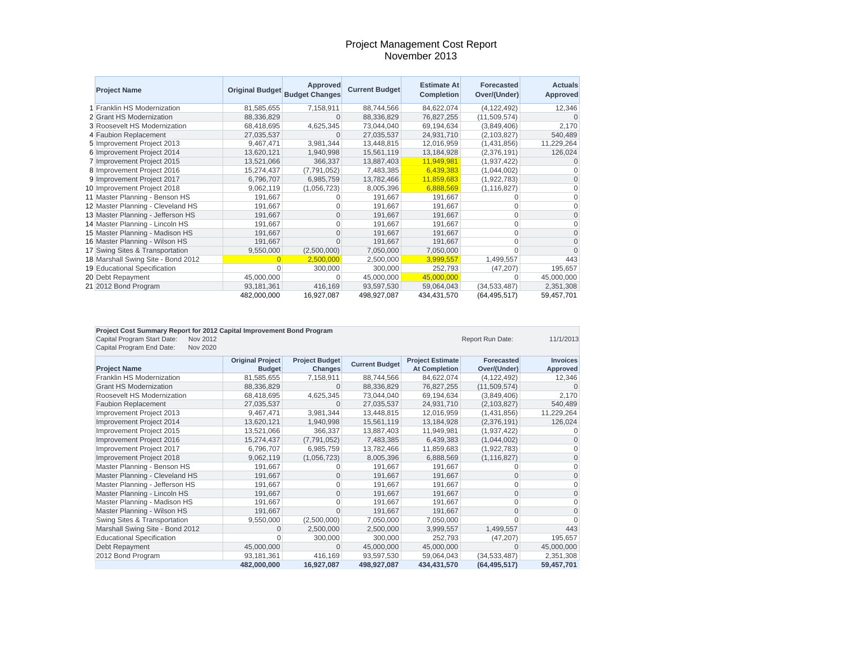#### Project Management Cost Report November 2013

| <b>Project Name</b>                | <b>Original Budget</b> | Approved<br><b>Budget Changes</b> | <b>Current Budget</b> | <b>Estimate At</b><br><b>Completion</b> | <b>Forecasted</b><br>Over/(Under) | <b>Actuals</b><br>Approved |
|------------------------------------|------------------------|-----------------------------------|-----------------------|-----------------------------------------|-----------------------------------|----------------------------|
| 1 Franklin HS Modernization        | 81,585,655             | 7,158,911                         | 88,744,566            | 84,622,074                              | (4, 122, 492)                     | 12,346                     |
| 2 Grant HS Modernization           | 88,336,829             | $\Omega$                          | 88,336,829            | 76,827,255                              | (11,509,574)                      |                            |
| 3 Roosevelt HS Modernization       | 68,418,695             | 4,625,345                         | 73,044,040            | 69,194,634                              | (3,849,406)                       | 2,170                      |
| 4 Faubion Replacement              | 27,035,537             | $\Omega$                          | 27,035,537            | 24,931,710                              | (2,103,827)                       | 540,489                    |
| 5 Improvement Project 2013         | 9,467,471              | 3,981,344                         | 13,448,815            | 12,016,959                              | (1,431,856)                       | 11,229,264                 |
| 6 Improvement Project 2014         | 13,620,121             | 1,940,998                         | 15,561,119            | 13,184,928                              | (2,376,191)                       | 126,024                    |
| 7 Improvement Project 2015         | 13,521,066             | 366,337                           | 13,887,403            | 11,949,981                              | (1,937,422)                       |                            |
| 8 Improvement Project 2016         | 15,274,437             | (7,791,052)                       | 7,483,385             | 6,439,383                               | (1,044,002)                       |                            |
| 9 Improvement Project 2017         | 6,796,707              | 6,985,759                         | 13,782,466            | 11,859,683                              | (1,922,783)                       | $\Omega$                   |
| 10 Improvement Project 2018        | 9,062,119              | (1,056,723)                       | 8,005,396             | 6,888,569                               | (1, 116, 827)                     | $\Omega$                   |
| 11 Master Planning - Benson HS     | 191,667                |                                   | 191,667               | 191,667                                 | $\Omega$                          | $\Omega$                   |
| 12 Master Planning - Cleveland HS  | 191,667                | 0                                 | 191,667               | 191,667                                 |                                   | $\Omega$                   |
| 13 Master Planning - Jefferson HS  | 191,667                | $\overline{0}$                    | 191,667               | 191,667                                 | $\Omega$                          | $\Omega$                   |
| 14 Master Planning - Lincoln HS    | 191,667                | 0                                 | 191,667               | 191,667                                 |                                   | $\Omega$                   |
| 15 Master Planning - Madison HS    | 191,667                | 0                                 | 191,667               | 191,667                                 | $\Omega$                          | $\Omega$                   |
| 16 Master Planning - Wilson HS     | 191,667                | 0                                 | 191,667               | 191,667                                 |                                   | O                          |
| 17 Swing Sites & Transportation    | 9,550,000              | (2,500,000)                       | 7,050,000             | 7,050,000                               |                                   | $\Omega$                   |
| 18 Marshall Swing Site - Bond 2012 |                        | 2,500,000                         | 2,500,000             | 3,999,557                               | 1,499,557                         | 443                        |
| 19 Educational Specification       |                        | 300,000                           | 300,000               | 252,793                                 | (47, 207)                         | 195,657                    |
| 20 Debt Repayment                  | 45,000,000             | 0                                 | 45,000,000            | 45,000,000                              |                                   | 45,000,000                 |
| 21 2012 Bond Program               | 93,181,361             | 416,169                           | 93,597,530            | 59,064,043                              | (34, 533, 487)                    | 2,351,308                  |
|                                    | 482,000,000            | 16,927,087                        | 498,927,087           | 434,431,570                             | (64, 495, 517)                    | 59,457,701                 |

| Project Cost Summary Report for 2012 Capital Improvement Bond Program |                         |                       |                       |                         |                  |                 |  |
|-----------------------------------------------------------------------|-------------------------|-----------------------|-----------------------|-------------------------|------------------|-----------------|--|
| Capital Program Start Date:<br>Nov 2012                               |                         |                       |                       |                         | Report Run Date: | 11/1/2013       |  |
| Capital Program End Date:<br><b>Nov 2020</b>                          |                         |                       |                       |                         |                  |                 |  |
|                                                                       | <b>Original Project</b> | <b>Project Budget</b> |                       | <b>Project Estimate</b> | Forecasted       | <b>Invoices</b> |  |
| <b>Project Name</b>                                                   | <b>Budget</b>           | Changes               | <b>Current Budget</b> | <b>At Completion</b>    | Over/(Under)     | Approved        |  |
| <b>Franklin HS Modernization</b>                                      | 81,585,655              | 7,158,911             | 88,744,566            | 84.622.074              | (4.122.492)      | 12,346          |  |
| <b>Grant HS Modernization</b>                                         | 88,336,829              | $\Omega$              | 88,336,829            | 76,827,255              | (11,509,574)     | $\Omega$        |  |
| Roosevelt HS Modernization                                            | 68,418,695              | 4,625,345             | 73.044.040            | 69,194,634              | (3,849,406)      | 2,170           |  |
| <b>Faubion Replacement</b>                                            | 27,035,537              | O                     | 27,035,537            | 24,931,710              | (2,103,827)      | 540,489         |  |
| Improvement Project 2013                                              | 9,467,471               | 3,981,344             | 13,448,815            | 12,016,959              | (1,431,856)      | 11,229,264      |  |
| Improvement Project 2014                                              | 13,620,121              | 1,940,998             | 15,561,119            | 13,184,928              | (2,376,191)      | 126,024         |  |
| Improvement Project 2015                                              | 13,521,066              | 366,337               | 13,887,403            | 11,949,981              | (1,937,422)      |                 |  |
| Improvement Project 2016                                              | 15,274,437              | (7,791,052)           | 7,483,385             | 6,439,383               | (1,044,002)      | $\Omega$        |  |
| Improvement Project 2017                                              | 6,796,707               | 6,985,759             | 13,782,466            | 11,859,683              | (1,922,783)      | $\Omega$        |  |
| Improvement Project 2018                                              | 9,062,119               | (1,056,723)           | 8,005,396             | 6,888,569               | (1, 116, 827)    | $\mathbf{0}$    |  |
| Master Planning - Benson HS                                           | 191,667                 |                       | 191,667               | 191,667                 | 0                | $\Omega$        |  |
| Master Planning - Cleveland HS                                        | 191,667                 | $\Omega$              | 191.667               | 191.667                 | 0                | $\Omega$        |  |
| Master Planning - Jefferson HS                                        | 191,667                 | 0                     | 191,667               | 191,667                 |                  | $\Omega$        |  |
| Master Planning - Lincoln HS                                          | 191,667                 | $\mathbf 0$           | 191,667               | 191,667                 | 0                | $\mathbf{0}$    |  |
| Master Planning - Madison HS                                          | 191,667                 | $\Omega$              | 191,667               | 191,667                 | 0                | $\mathbf{0}$    |  |
| Master Planning - Wilson HS                                           | 191,667                 | $\Omega$              | 191,667               | 191,667                 | O                | $\mathbf{0}$    |  |
| Swing Sites & Transportation                                          | 9,550,000               | (2,500,000)           | 7,050,000             | 7,050,000               |                  | $\Omega$        |  |
| Marshall Swing Site - Bond 2012                                       | $\Omega$                | 2,500,000             | 2.500.000             | 3,999,557               | 1,499,557        | 443             |  |
| <b>Educational Specification</b>                                      | $\Omega$                | 300,000               | 300.000               | 252,793                 | (47, 207)        | 195,657         |  |
| Debt Repayment                                                        | 45,000,000              | $\Omega$              | 45,000,000            | 45,000,000              | O                | 45,000,000      |  |
| 2012 Bond Program                                                     | 93,181,361              | 416,169               | 93,597,530            | 59,064,043              | (34, 533, 487)   | 2,351,308       |  |
|                                                                       | 482,000,000             | 16,927,087            | 498,927,087           | 434,431,570             | (64, 495, 517)   | 59,457,701      |  |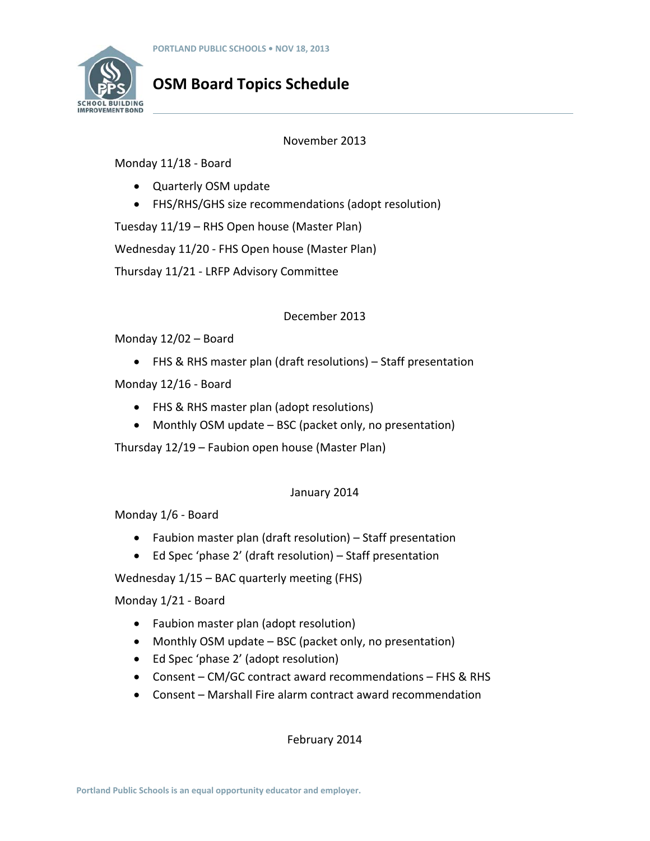

# **OSM Board Topics Schedule**

## November 2013

Monday 11/18 ‐ Board

- Quarterly OSM update
- FHS/RHS/GHS size recommendations (adopt resolution)

Tuesday 11/19 – RHS Open house (Master Plan)

Wednesday 11/20 ‐ FHS Open house (Master Plan)

Thursday 11/21 ‐ LRFP Advisory Committee

## December 2013

Monday 12/02 – Board

FHS & RHS master plan (draft resolutions) – Staff presentation

Monday 12/16 ‐ Board

- FHS & RHS master plan (adopt resolutions)
- Monthly OSM update BSC (packet only, no presentation)

Thursday 12/19 – Faubion open house (Master Plan)

## January 2014

Monday 1/6 ‐ Board

- Faubion master plan (draft resolution) Staff presentation
- Ed Spec 'phase 2' (draft resolution) Staff presentation

Wednesday 1/15 – BAC quarterly meeting (FHS)

Monday 1/21 ‐ Board

- Faubion master plan (adopt resolution)
- Monthly OSM update BSC (packet only, no presentation)
- Ed Spec 'phase 2' (adopt resolution)
- Consent CM/GC contract award recommendations FHS & RHS
- Consent Marshall Fire alarm contract award recommendation

February 2014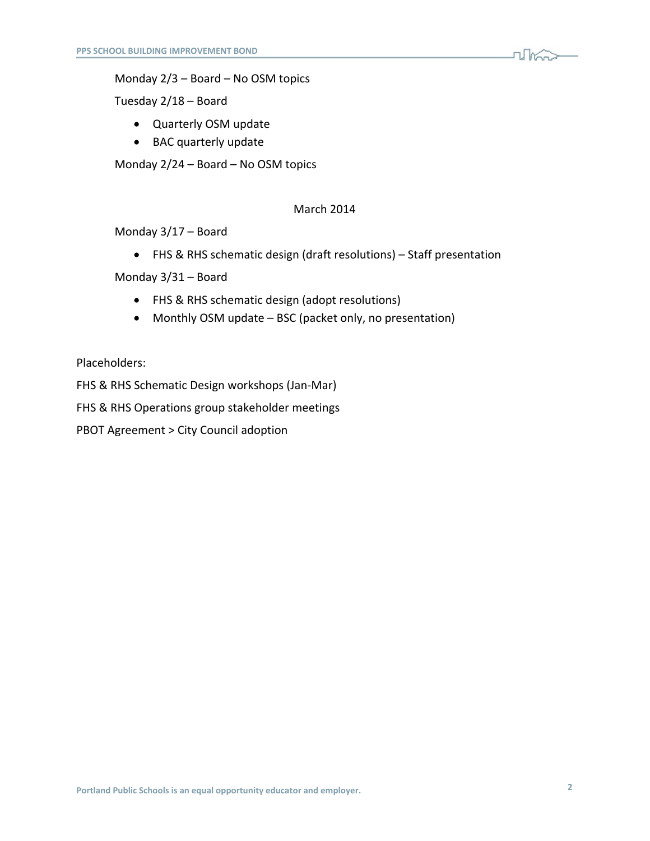

Monday 2/3 – Board – No OSM topics

Tuesday 2/18 – Board

- Quarterly OSM update
- BAC quarterly update

Monday 2/24 – Board – No OSM topics

## March 2014

Monday 3/17 – Board

FHS & RHS schematic design (draft resolutions) – Staff presentation

Monday 3/31 – Board

- FHS & RHS schematic design (adopt resolutions)
- Monthly OSM update BSC (packet only, no presentation)

Placeholders:

FHS & RHS Schematic Design workshops (Jan‐Mar)

FHS & RHS Operations group stakeholder meetings

PBOT Agreement > City Council adoption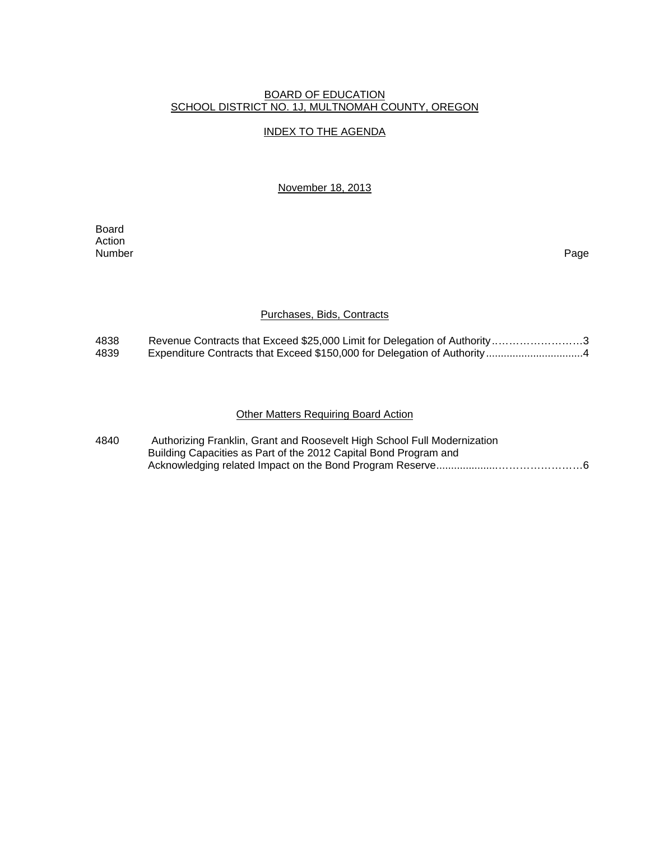#### BOARD OF EDUCATION SCHOOL DISTRICT NO. 1J, MULTNOMAH COUNTY, OREGON

## INDEX TO THE AGENDA

November 18, 2013

**Board Board** Action<br>Number Number Page

## Purchases, Bids, Contracts

| 4838 | Revenue Contracts that Exceed \$25,000 Limit for Delegation of Authority3 |
|------|---------------------------------------------------------------------------|
| 4839 |                                                                           |

# Other Matters Requiring Board Action

| 4840 | Authorizing Franklin, Grant and Roosevelt High School Full Modernization |  |
|------|--------------------------------------------------------------------------|--|
|      | Building Capacities as Part of the 2012 Capital Bond Program and         |  |
|      |                                                                          |  |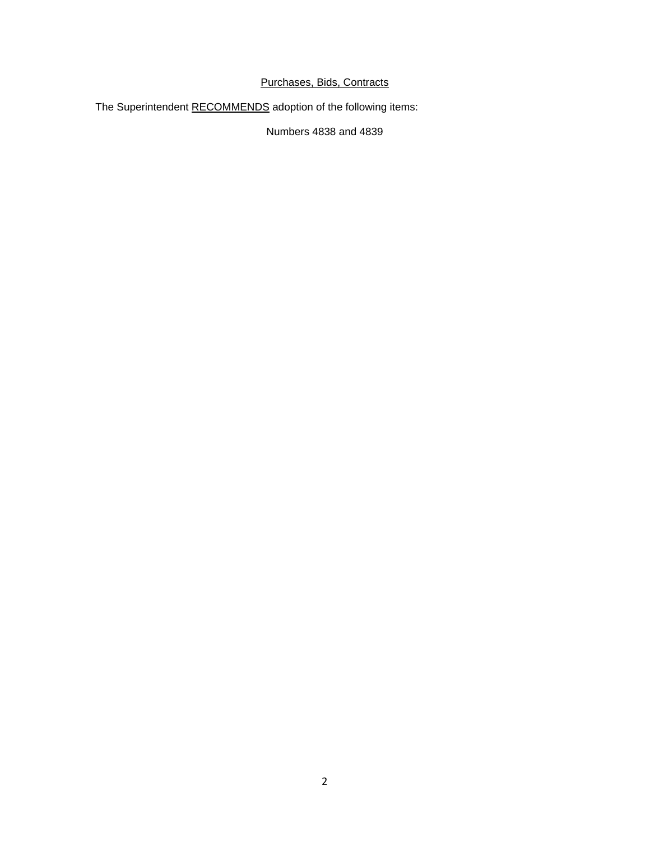# Purchases, Bids, Contracts

The Superintendent RECOMMENDS adoption of the following items:

Numbers 4838 and 4839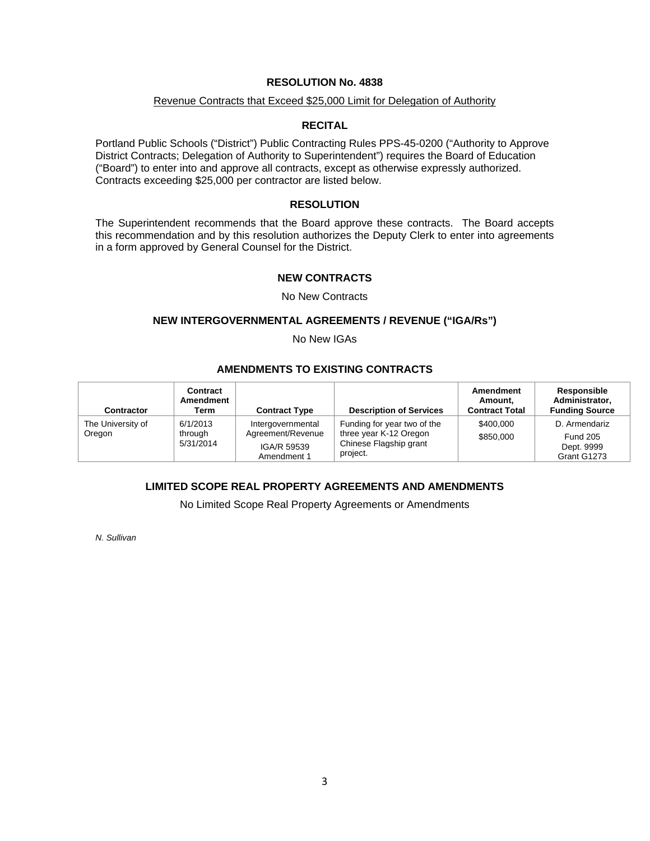## **RESOLUTION No. 4838**

## Revenue Contracts that Exceed \$25,000 Limit for Delegation of Authority

## **RECITAL**

Portland Public Schools ("District") Public Contracting Rules PPS-45-0200 ("Authority to Approve District Contracts; Delegation of Authority to Superintendent") requires the Board of Education ("Board") to enter into and approve all contracts, except as otherwise expressly authorized. Contracts exceeding \$25,000 per contractor are listed below.

## **RESOLUTION**

The Superintendent recommends that the Board approve these contracts. The Board accepts this recommendation and by this resolution authorizes the Deputy Clerk to enter into agreements in a form approved by General Counsel for the District.

## **NEW CONTRACTS**

#### No New Contracts

#### **NEW INTERGOVERNMENTAL AGREEMENTS / REVENUE ("IGA/Rs")**

No New IGAs

## **AMENDMENTS TO EXISTING CONTRACTS**

| Contractor                  | Contract<br>Amendment<br>Term    | <b>Contract Type</b>                                                 | <b>Description of Services</b>                                                              | Amendment<br>Amount.<br><b>Contract Total</b> | Responsible<br>Administrator.<br><b>Funding Source</b>        |
|-----------------------------|----------------------------------|----------------------------------------------------------------------|---------------------------------------------------------------------------------------------|-----------------------------------------------|---------------------------------------------------------------|
| The University of<br>Oregon | 6/1/2013<br>through<br>5/31/2014 | Intergovernmental<br>Agreement/Revenue<br>IGA/R 59539<br>Amendment 1 | Funding for year two of the<br>three year K-12 Oregon<br>Chinese Flagship grant<br>project. | \$400,000<br>\$850,000                        | D. Armendariz<br><b>Fund 205</b><br>Dept. 9999<br>Grant G1273 |

## **LIMITED SCOPE REAL PROPERTY AGREEMENTS AND AMENDMENTS**

No Limited Scope Real Property Agreements or Amendments

*N. Sullivan*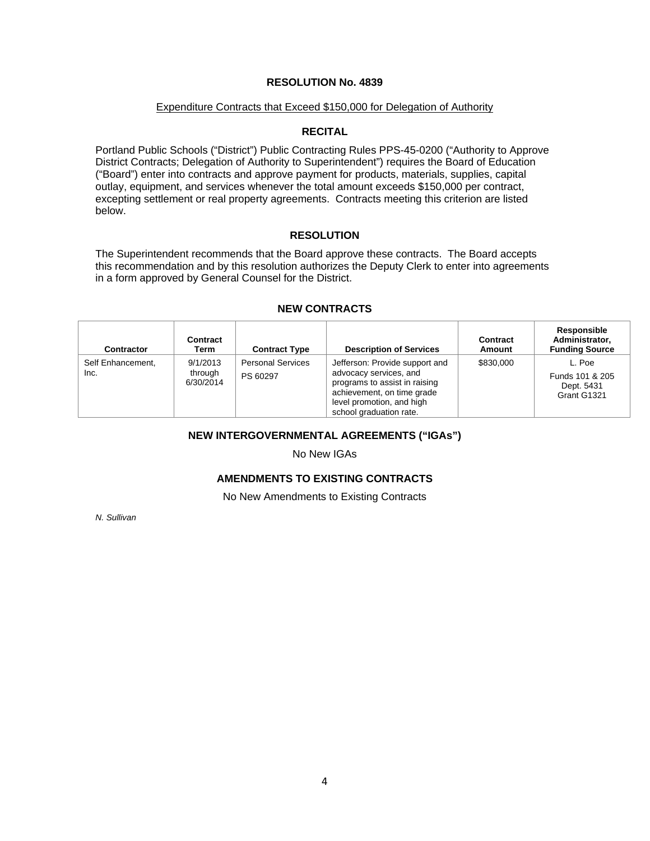## **RESOLUTION No. 4839**

#### Expenditure Contracts that Exceed \$150,000 for Delegation of Authority

## **RECITAL**

Portland Public Schools ("District") Public Contracting Rules PPS-45-0200 ("Authority to Approve District Contracts; Delegation of Authority to Superintendent") requires the Board of Education ("Board") enter into contracts and approve payment for products, materials, supplies, capital outlay, equipment, and services whenever the total amount exceeds \$150,000 per contract, excepting settlement or real property agreements. Contracts meeting this criterion are listed below.

## **RESOLUTION**

The Superintendent recommends that the Board approve these contracts. The Board accepts this recommendation and by this resolution authorizes the Deputy Clerk to enter into agreements in a form approved by General Counsel for the District.

| Contractor                | Contract<br>Term                 | <b>Contract Type</b>                 | <b>Description of Services</b>                                                                                                                                                  | <b>Contract</b><br>Amount | Responsible<br>Administrator.<br><b>Funding Source</b> |
|---------------------------|----------------------------------|--------------------------------------|---------------------------------------------------------------------------------------------------------------------------------------------------------------------------------|---------------------------|--------------------------------------------------------|
| Self Enhancement,<br>Inc. | 9/1/2013<br>through<br>6/30/2014 | <b>Personal Services</b><br>PS 60297 | Jefferson: Provide support and<br>advocacy services, and<br>programs to assist in raising<br>achievement, on time grade<br>level promotion, and high<br>school graduation rate. | \$830,000                 | L. Poe<br>Funds 101 & 205<br>Dept. 5431<br>Grant G1321 |

#### **NEW CONTRACTS**

## **NEW INTERGOVERNMENTAL AGREEMENTS ("IGAs")**

No New IGAs

## **AMENDMENTS TO EXISTING CONTRACTS**

No New Amendments to Existing Contracts

*N. Sullivan*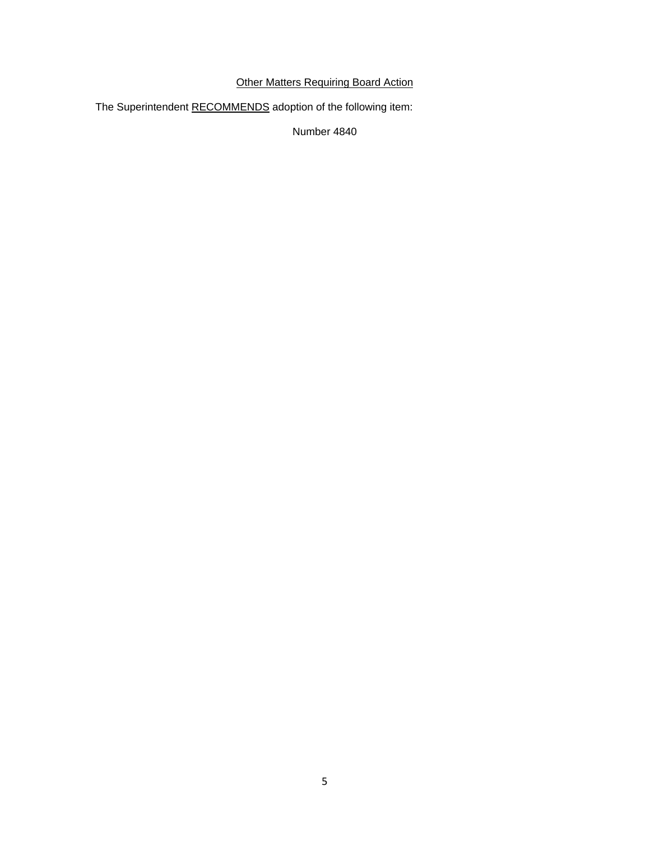# **Other Matters Requiring Board Action**

The Superintendent RECOMMENDS adoption of the following item:

Number 4840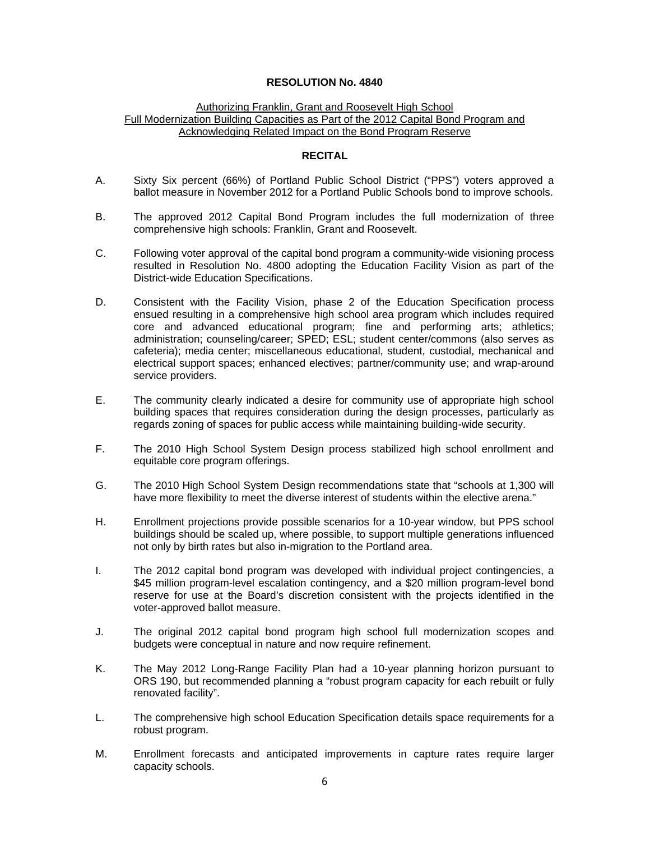## **RESOLUTION No. 4840**

#### Authorizing Franklin, Grant and Roosevelt High School Full Modernization Building Capacities as Part of the 2012 Capital Bond Program and Acknowledging Related Impact on the Bond Program Reserve

## **RECITAL**

- A. Sixty Six percent (66%) of Portland Public School District ("PPS") voters approved a ballot measure in November 2012 for a Portland Public Schools bond to improve schools.
- B. The approved 2012 Capital Bond Program includes the full modernization of three comprehensive high schools: Franklin, Grant and Roosevelt.
- C. Following voter approval of the capital bond program a community-wide visioning process resulted in Resolution No. 4800 adopting the Education Facility Vision as part of the District-wide Education Specifications.
- D. Consistent with the Facility Vision, phase 2 of the Education Specification process ensued resulting in a comprehensive high school area program which includes required core and advanced educational program; fine and performing arts; athletics; administration; counseling/career; SPED; ESL; student center/commons (also serves as cafeteria); media center; miscellaneous educational, student, custodial, mechanical and electrical support spaces; enhanced electives; partner/community use; and wrap-around service providers.
- E. The community clearly indicated a desire for community use of appropriate high school building spaces that requires consideration during the design processes, particularly as regards zoning of spaces for public access while maintaining building-wide security.
- F. The 2010 High School System Design process stabilized high school enrollment and equitable core program offerings.
- G. The 2010 High School System Design recommendations state that "schools at 1,300 will have more flexibility to meet the diverse interest of students within the elective arena."
- H. Enrollment projections provide possible scenarios for a 10-year window, but PPS school buildings should be scaled up, where possible, to support multiple generations influenced not only by birth rates but also in-migration to the Portland area.
- I. The 2012 capital bond program was developed with individual project contingencies, a \$45 million program-level escalation contingency, and a \$20 million program-level bond reserve for use at the Board's discretion consistent with the projects identified in the voter-approved ballot measure.
- J. The original 2012 capital bond program high school full modernization scopes and budgets were conceptual in nature and now require refinement.
- K. The May 2012 Long-Range Facility Plan had a 10-year planning horizon pursuant to ORS 190, but recommended planning a "robust program capacity for each rebuilt or fully renovated facility".
- L. The comprehensive high school Education Specification details space requirements for a robust program.
- M. Enrollment forecasts and anticipated improvements in capture rates require larger capacity schools.